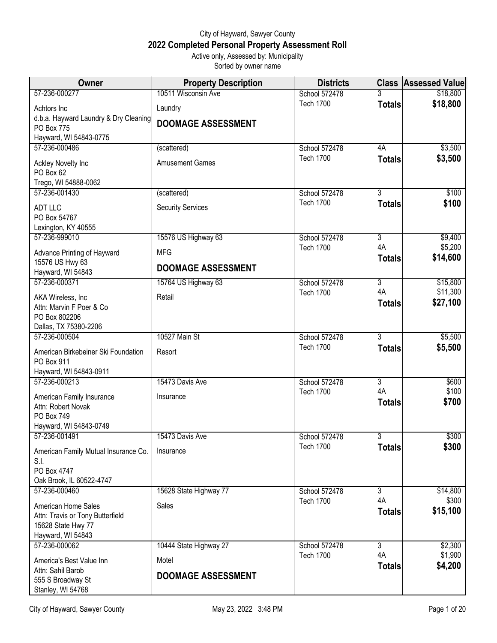## City of Hayward, Sawyer County **2022 Completed Personal Property Assessment Roll** Active only, Assessed by: Municipality

Sorted by owner name

| <b>Owner</b>                                  | <b>Property Description</b> | <b>Districts</b> |                     | <b>Class Assessed Value</b> |
|-----------------------------------------------|-----------------------------|------------------|---------------------|-----------------------------|
| 57-236-000277                                 | 10511 Wisconsin Ave         | School 572478    |                     | \$18,800                    |
| Achtors Inc                                   | Laundry                     | <b>Tech 1700</b> | <b>Totals</b>       | \$18,800                    |
| d.b.a. Hayward Laundry & Dry Cleaning         | <b>DOOMAGE ASSESSMENT</b>   |                  |                     |                             |
| <b>PO Box 775</b>                             |                             |                  |                     |                             |
| Hayward, WI 54843-0775<br>57-236-000486       | (scattered)                 | School 572478    | 4A                  | \$3,500                     |
|                                               |                             | <b>Tech 1700</b> | <b>Totals</b>       | \$3,500                     |
| Ackley Novelty Inc<br>PO Box 62               | <b>Amusement Games</b>      |                  |                     |                             |
| Trego, WI 54888-0062                          |                             |                  |                     |                             |
| 57-236-001430                                 | (scattered)                 | School 572478    | $\overline{3}$      | \$100                       |
| <b>ADT LLC</b>                                | <b>Security Services</b>    | <b>Tech 1700</b> | <b>Totals</b>       | \$100                       |
| PO Box 54767                                  |                             |                  |                     |                             |
| Lexington, KY 40555                           |                             |                  |                     |                             |
| 57-236-999010                                 | 15576 US Highway 63         | School 572478    | $\overline{3}$      | \$9,400                     |
| Advance Printing of Hayward                   | <b>MFG</b>                  | <b>Tech 1700</b> | 4A<br><b>Totals</b> | \$5,200<br>\$14,600         |
| 15576 US Hwy 63                               | <b>DOOMAGE ASSESSMENT</b>   |                  |                     |                             |
| Hayward, WI 54843<br>57-236-000371            | 15764 US Highway 63         | School 572478    | $\overline{3}$      | \$15,800                    |
|                                               |                             | <b>Tech 1700</b> | 4A                  | \$11,300                    |
| AKA Wireless, Inc.                            | Retail                      |                  | <b>Totals</b>       | \$27,100                    |
| Attn: Marvin F Poer & Co<br>PO Box 802206     |                             |                  |                     |                             |
| Dallas, TX 75380-2206                         |                             |                  |                     |                             |
| 57-236-000504                                 | 10527 Main St               | School 572478    | 3                   | \$5,500                     |
| American Birkebeiner Ski Foundation           | Resort                      | <b>Tech 1700</b> | <b>Totals</b>       | \$5,500                     |
| PO Box 911                                    |                             |                  |                     |                             |
| Hayward, WI 54843-0911                        |                             |                  |                     |                             |
| 57-236-000213                                 | 15473 Davis Ave             | School 572478    | $\overline{3}$      | \$600                       |
| American Family Insurance                     | Insurance                   | <b>Tech 1700</b> | 4A<br><b>Totals</b> | \$100<br>\$700              |
| Attn: Robert Novak                            |                             |                  |                     |                             |
| PO Box 749<br>Hayward, WI 54843-0749          |                             |                  |                     |                             |
| 57-236-001491                                 | 15473 Davis Ave             | School 572478    | 3                   | \$300                       |
|                                               | Insurance                   | <b>Tech 1700</b> | <b>Totals</b>       | \$300                       |
| American Family Mutual Insurance Co.<br>S.I.  |                             |                  |                     |                             |
| PO Box 4747                                   |                             |                  |                     |                             |
| Oak Brook, IL 60522-4747                      |                             |                  |                     |                             |
| 57-236-000460                                 | 15628 State Highway 77      | School 572478    | $\overline{3}$      | \$14,800                    |
| American Home Sales                           | Sales                       | <b>Tech 1700</b> | 4A                  | \$300<br>\$15,100           |
| Attn: Travis or Tony Butterfield              |                             |                  | <b>Totals</b>       |                             |
| 15628 State Hwy 77                            |                             |                  |                     |                             |
| Hayward, WI 54843<br>57-236-000062            | 10444 State Highway 27      | School 572478    | $\overline{3}$      | \$2,300                     |
|                                               |                             | <b>Tech 1700</b> | 4A                  | \$1,900                     |
| America's Best Value Inn<br>Attn: Sahil Barob | Motel                       |                  | <b>Totals</b>       | \$4,200                     |
| 555 S Broadway St                             | <b>DOOMAGE ASSESSMENT</b>   |                  |                     |                             |
| Stanley, WI 54768                             |                             |                  |                     |                             |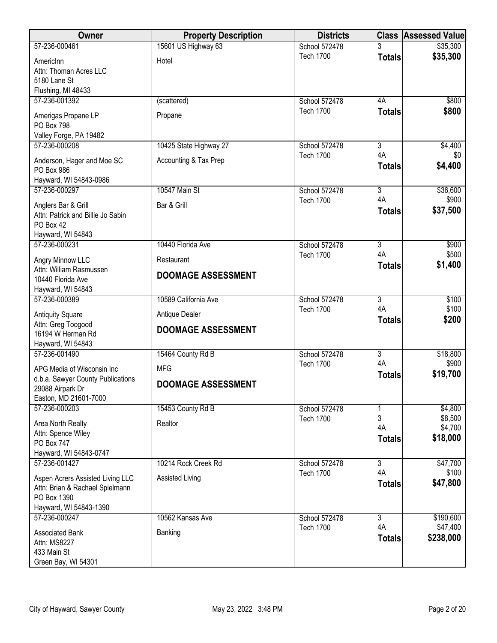| Owner                                                           | <b>Property Description</b> | <b>Districts</b>                  |                           | <b>Class Assessed Value</b> |
|-----------------------------------------------------------------|-----------------------------|-----------------------------------|---------------------------|-----------------------------|
| 57-236-000461                                                   | 15601 US Highway 63         | School 572478                     |                           | \$35,300                    |
| AmericInn                                                       | Hotel                       | <b>Tech 1700</b>                  | <b>Totals</b>             | \$35,300                    |
| Attn: Thoman Acres LLC                                          |                             |                                   |                           |                             |
| 5180 Lane St                                                    |                             |                                   |                           |                             |
| Flushing, MI 48433                                              |                             |                                   |                           |                             |
| 57-236-001392                                                   | (scattered)                 | School 572478                     | 4A                        | \$800                       |
| Amerigas Propane LP                                             | Propane                     | <b>Tech 1700</b>                  | <b>Totals</b>             | \$800                       |
| PO Box 798                                                      |                             |                                   |                           |                             |
| Valley Forge, PA 19482                                          |                             |                                   |                           |                             |
| 57-236-000208                                                   | 10425 State Highway 27      | School 572478                     | $\overline{3}$            | \$4,400                     |
| Anderson, Hager and Moe SC                                      | Accounting & Tax Prep       | <b>Tech 1700</b>                  | 4A                        | \$0<br>\$4,400              |
| PO Box 986                                                      |                             |                                   | <b>Totals</b>             |                             |
| Hayward, WI 54843-0986                                          |                             |                                   |                           |                             |
| 57-236-000297                                                   | 10547 Main St               | School 572478                     | $\overline{3}$            | \$36,600                    |
| Anglers Bar & Grill                                             | Bar & Grill                 | <b>Tech 1700</b>                  | 4A                        | \$900                       |
| Attn: Patrick and Billie Jo Sabin                               |                             |                                   | <b>Totals</b>             | \$37,500                    |
| PO Box 42                                                       |                             |                                   |                           |                             |
| Hayward, WI 54843                                               |                             |                                   |                           |                             |
| 57-236-000231                                                   | 10440 Florida Ave           | School 572478<br><b>Tech 1700</b> | $\overline{3}$<br>4A      | \$900<br>\$500              |
| Angry Minnow LLC                                                | Restaurant                  |                                   | <b>Totals</b>             | \$1,400                     |
| Attn: William Rasmussen                                         | <b>DOOMAGE ASSESSMENT</b>   |                                   |                           |                             |
| 10440 Florida Ave                                               |                             |                                   |                           |                             |
| Hayward, WI 54843<br>57-236-000389                              | 10589 California Ave        | School 572478                     | $\overline{3}$            | \$100                       |
|                                                                 |                             | <b>Tech 1700</b>                  | 4A                        | \$100                       |
| <b>Antiquity Square</b>                                         | Antique Dealer              |                                   | <b>Totals</b>             | \$200                       |
| Attn: Greg Toogood<br>16194 W Herman Rd                         | <b>DOOMAGE ASSESSMENT</b>   |                                   |                           |                             |
| Hayward, WI 54843                                               |                             |                                   |                           |                             |
| 57-236-001490                                                   | 15464 County Rd B           | School 572478                     | $\overline{\overline{3}}$ | \$18,800                    |
|                                                                 |                             | <b>Tech 1700</b>                  | 4A                        | \$900                       |
| APG Media of Wisconsin Inc<br>d.b.a. Sawyer County Publications | <b>MFG</b>                  |                                   | <b>Totals</b>             | \$19,700                    |
| 29088 Airpark Dr                                                | <b>DOOMAGE ASSESSMENT</b>   |                                   |                           |                             |
| Easton, MD 21601-7000                                           |                             |                                   |                           |                             |
| 57-236-000203                                                   | 15453 County Rd B           | School 572478                     |                           | \$4,800                     |
| Area North Realty                                               | Realtor                     | <b>Tech 1700</b>                  | 3                         | \$8,500                     |
| Attn: Spence Wiley                                              |                             |                                   | 4A                        | \$4,700                     |
| <b>PO Box 747</b>                                               |                             |                                   | <b>Totals</b>             | \$18,000                    |
| Hayward, WI 54843-0747                                          |                             |                                   |                           |                             |
| 57-236-001427                                                   | 10214 Rock Creek Rd         | School 572478                     | 3                         | \$47,700                    |
| Aspen Acrers Assisted Living LLC                                | Assisted Living             | <b>Tech 1700</b>                  | 4A                        | \$100                       |
| Attn: Brian & Rachael Spielmann                                 |                             |                                   | <b>Totals</b>             | \$47,800                    |
| PO Box 1390                                                     |                             |                                   |                           |                             |
| Hayward, WI 54843-1390                                          |                             |                                   |                           |                             |
| 57-236-000247                                                   | 10562 Kansas Ave            | School 572478                     | $\overline{3}$            | \$190,600                   |
| <b>Associated Bank</b>                                          | Banking                     | <b>Tech 1700</b>                  | 4A                        | \$47,400                    |
| Attn: MS8227                                                    |                             |                                   | <b>Totals</b>             | \$238,000                   |
| 433 Main St                                                     |                             |                                   |                           |                             |
| Green Bay, WI 54301                                             |                             |                                   |                           |                             |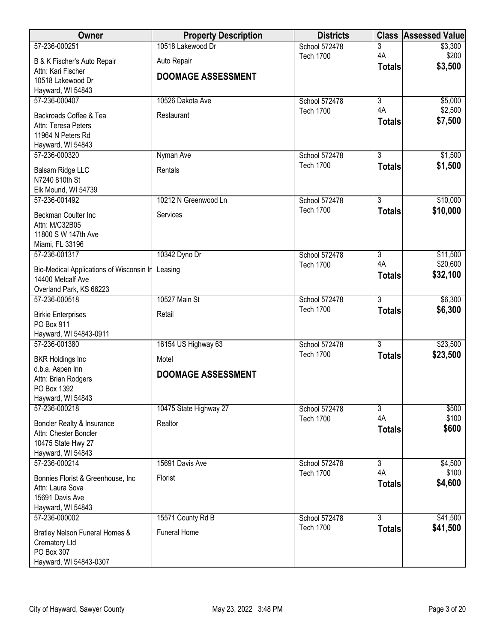| Owner                                                  | <b>Property Description</b> | <b>Districts</b>                  |                                 | <b>Class Assessed Value</b> |
|--------------------------------------------------------|-----------------------------|-----------------------------------|---------------------------------|-----------------------------|
| 57-236-000251                                          | 10518 Lakewood Dr           | School 572478                     | 3                               | \$3,300                     |
| B & K Fischer's Auto Repair                            | Auto Repair                 | <b>Tech 1700</b>                  | 4A                              | \$200                       |
| Attn: Kari Fischer                                     | <b>DOOMAGE ASSESSMENT</b>   |                                   | <b>Totals</b>                   | \$3,500                     |
| 10518 Lakewood Dr                                      |                             |                                   |                                 |                             |
| Hayward, WI 54843                                      |                             |                                   |                                 |                             |
| 57-236-000407                                          | 10526 Dakota Ave            | School 572478<br><b>Tech 1700</b> | $\overline{\overline{3}}$<br>4A | \$5,000<br>\$2,500          |
| Backroads Coffee & Tea                                 | Restaurant                  |                                   | <b>Totals</b>                   | \$7,500                     |
| Attn: Teresa Peters                                    |                             |                                   |                                 |                             |
| 11964 N Peters Rd                                      |                             |                                   |                                 |                             |
| Hayward, WI 54843<br>57-236-000320                     | Nyman Ave                   | School 572478                     | $\overline{3}$                  | \$1,500                     |
|                                                        |                             | <b>Tech 1700</b>                  | <b>Totals</b>                   | \$1,500                     |
| Balsam Ridge LLC                                       | Rentals                     |                                   |                                 |                             |
| N7240 810th St                                         |                             |                                   |                                 |                             |
| Elk Mound, WI 54739<br>57-236-001492                   | 10212 N Greenwood Ln        | School 572478                     | $\overline{3}$                  | \$10,000                    |
|                                                        |                             | <b>Tech 1700</b>                  | <b>Totals</b>                   | \$10,000                    |
| Beckman Coulter Inc                                    | Services                    |                                   |                                 |                             |
| Attn: M/C32B05<br>11800 S W 147th Ave                  |                             |                                   |                                 |                             |
| Miami, FL 33196                                        |                             |                                   |                                 |                             |
| 57-236-001317                                          | 10342 Dyno Dr               | School 572478                     | $\overline{3}$                  | \$11,500                    |
| Bio-Medical Applications of Wisconsin In               | Leasing                     | <b>Tech 1700</b>                  | 4A                              | \$20,600                    |
| 14400 Metcalf Ave                                      |                             |                                   | <b>Totals</b>                   | \$32,100                    |
| Overland Park, KS 66223                                |                             |                                   |                                 |                             |
| 57-236-000518                                          | 10527 Main St               | School 572478                     | $\overline{3}$                  | \$6,300                     |
| <b>Birkie Enterprises</b>                              | Retail                      | <b>Tech 1700</b>                  | <b>Totals</b>                   | \$6,300                     |
| PO Box 911                                             |                             |                                   |                                 |                             |
| Hayward, WI 54843-0911                                 |                             |                                   |                                 |                             |
| 57-236-001380                                          | 16154 US Highway 63         | School 572478                     | $\overline{3}$                  | \$23,500                    |
| <b>BKR Holdings Inc</b>                                | Motel                       | <b>Tech 1700</b>                  | <b>Totals</b>                   | \$23,500                    |
| d.b.a. Aspen Inn                                       |                             |                                   |                                 |                             |
| Attn: Brian Rodgers                                    | <b>DOOMAGE ASSESSMENT</b>   |                                   |                                 |                             |
| PO Box 1392                                            |                             |                                   |                                 |                             |
| Hayward, WI 54843<br>57-236-000218                     | 10475 State Highway 27      | School 572478                     | $\overline{3}$                  | \$500                       |
|                                                        |                             | <b>Tech 1700</b>                  | 4A                              | \$100                       |
| Boncler Realty & Insurance                             | Realtor                     |                                   | <b>Totals</b>                   | \$600                       |
| Attn: Chester Boncler<br>10475 State Hwy 27            |                             |                                   |                                 |                             |
| Hayward, WI 54843                                      |                             |                                   |                                 |                             |
| 57-236-000214                                          | 15691 Davis Ave             | School 572478                     | $\overline{3}$                  | \$4,500                     |
|                                                        |                             | <b>Tech 1700</b>                  | 4A                              | \$100                       |
| Bonnies Florist & Greenhouse, Inc.<br>Attn: Laura Sova | <b>Florist</b>              |                                   | <b>Totals</b>                   | \$4,600                     |
| 15691 Davis Ave                                        |                             |                                   |                                 |                             |
| Hayward, WI 54843                                      |                             |                                   |                                 |                             |
| 57-236-000002                                          | 15571 County Rd B           | School 572478                     | $\overline{3}$                  | \$41,500                    |
| Bratley Nelson Funeral Homes &                         | Funeral Home                | <b>Tech 1700</b>                  | <b>Totals</b>                   | \$41,500                    |
| Crematory Ltd                                          |                             |                                   |                                 |                             |
| PO Box 307                                             |                             |                                   |                                 |                             |
| Hayward, WI 54843-0307                                 |                             |                                   |                                 |                             |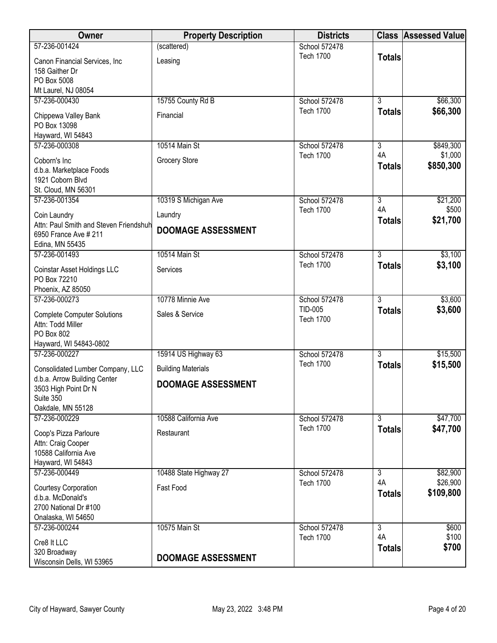| Owner                                            | <b>Property Description</b> | <b>Districts</b>                  |                                 | <b>Class Assessed Value</b> |
|--------------------------------------------------|-----------------------------|-----------------------------------|---------------------------------|-----------------------------|
| 57-236-001424                                    | (scattered)                 | School 572478                     |                                 |                             |
| Canon Financial Services, Inc                    | Leasing                     | <b>Tech 1700</b>                  | <b>Totals</b>                   |                             |
| 158 Gaither Dr                                   |                             |                                   |                                 |                             |
| PO Box 5008                                      |                             |                                   |                                 |                             |
| Mt Laurel, NJ 08054                              |                             |                                   |                                 |                             |
| 57-236-000430                                    | 15755 County Rd B           | School 572478                     | $\overline{3}$                  | \$66,300                    |
| Chippewa Valley Bank                             | Financial                   | <b>Tech 1700</b>                  | <b>Totals</b>                   | \$66,300                    |
| PO Box 13098                                     |                             |                                   |                                 |                             |
| Hayward, WI 54843                                |                             |                                   |                                 |                             |
| 57-236-000308                                    | 10514 Main St               | School 572478                     | $\overline{3}$                  | \$849,300                   |
| Coborn's Inc                                     | <b>Grocery Store</b>        | <b>Tech 1700</b>                  | 4A                              | \$1,000                     |
| d.b.a. Marketplace Foods                         |                             |                                   | <b>Totals</b>                   | \$850,300                   |
| 1921 Coborn Blvd                                 |                             |                                   |                                 |                             |
| St. Cloud, MN 56301                              |                             |                                   |                                 |                             |
| 57-236-001354                                    | 10319 S Michigan Ave        | School 572478                     | $\overline{3}$                  | \$21,200                    |
| Coin Laundry                                     | Laundry                     | <b>Tech 1700</b>                  | 4A                              | \$500                       |
| Attn: Paul Smith and Steven Friendshuh           | <b>DOOMAGE ASSESSMENT</b>   |                                   | <b>Totals</b>                   | \$21,700                    |
| 6950 France Ave # 211                            |                             |                                   |                                 |                             |
| Edina, MN 55435                                  |                             |                                   |                                 |                             |
| 57-236-001493                                    | 10514 Main St               | School 572478<br><b>Tech 1700</b> | $\overline{3}$<br><b>Totals</b> | \$3,100<br>\$3,100          |
| Coinstar Asset Holdings LLC                      | Services                    |                                   |                                 |                             |
| PO Box 72210                                     |                             |                                   |                                 |                             |
| Phoenix, AZ 85050                                |                             |                                   |                                 |                             |
| 57-236-000273                                    | 10778 Minnie Ave            | School 572478<br>TID-005          | $\overline{3}$                  | \$3,600                     |
| <b>Complete Computer Solutions</b>               | Sales & Service             | <b>Tech 1700</b>                  | <b>Totals</b>                   | \$3,600                     |
| Attn: Todd Miller                                |                             |                                   |                                 |                             |
| PO Box 802                                       |                             |                                   |                                 |                             |
| Hayward, WI 54843-0802<br>57-236-000227          |                             |                                   |                                 |                             |
|                                                  | 15914 US Highway 63         | School 572478<br><b>Tech 1700</b> | $\overline{3}$                  | \$15,500                    |
| Consolidated Lumber Company, LLC                 | <b>Building Materials</b>   |                                   | <b>Totals</b>                   | \$15,500                    |
| d.b.a. Arrow Building Center                     | <b>DOOMAGE ASSESSMENT</b>   |                                   |                                 |                             |
| 3503 High Point Dr N<br>Suite 350                |                             |                                   |                                 |                             |
| Oakdale, MN 55128                                |                             |                                   |                                 |                             |
| 57-236-000229                                    | 10588 California Ave        | School 572478                     | $\overline{3}$                  | \$47,700                    |
|                                                  |                             | <b>Tech 1700</b>                  | <b>Totals</b>                   | \$47,700                    |
| Coop's Pizza Parloure                            | Restaurant                  |                                   |                                 |                             |
| Attn: Craig Cooper<br>10588 California Ave       |                             |                                   |                                 |                             |
| Hayward, WI 54843                                |                             |                                   |                                 |                             |
| 57-236-000449                                    | 10488 State Highway 27      | School 572478                     | $\overline{3}$                  | \$82,900                    |
|                                                  |                             | <b>Tech 1700</b>                  | 4A                              | \$26,900                    |
| <b>Courtesy Corporation</b><br>d.b.a. McDonald's | Fast Food                   |                                   | <b>Totals</b>                   | \$109,800                   |
| 2700 National Dr #100                            |                             |                                   |                                 |                             |
| Onalaska, WI 54650                               |                             |                                   |                                 |                             |
| 57-236-000244                                    | 10575 Main St               | School 572478                     | $\overline{3}$                  | \$600                       |
|                                                  |                             | <b>Tech 1700</b>                  | 4A                              | \$100                       |
| Cre8 It LLC<br>320 Broadway                      |                             |                                   | <b>Totals</b>                   | \$700                       |
| Wisconsin Dells, WI 53965                        | <b>DOOMAGE ASSESSMENT</b>   |                                   |                                 |                             |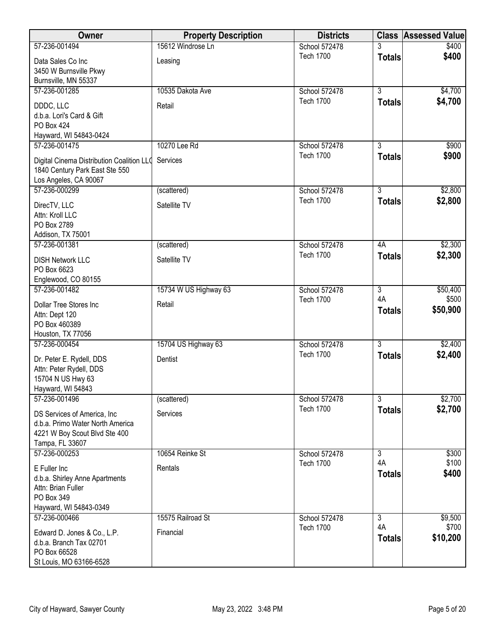| Owner                                                           | <b>Property Description</b> | <b>Districts</b> |                | <b>Class Assessed Value</b> |
|-----------------------------------------------------------------|-----------------------------|------------------|----------------|-----------------------------|
| 57-236-001494                                                   | 15612 Windrose Ln           | School 572478    |                | \$400                       |
| Data Sales Co Inc                                               | Leasing                     | <b>Tech 1700</b> | <b>Totals</b>  | \$400                       |
| 3450 W Burnsville Pkwy                                          |                             |                  |                |                             |
| Burnsville, MN 55337                                            |                             |                  |                |                             |
| 57-236-001285                                                   | 10535 Dakota Ave            | School 572478    | $\overline{3}$ | \$4,700                     |
| DDDC, LLC                                                       | Retail                      | <b>Tech 1700</b> | <b>Totals</b>  | \$4,700                     |
| d.b.a. Lori's Card & Gift                                       |                             |                  |                |                             |
| PO Box 424                                                      |                             |                  |                |                             |
| Hayward, WI 54843-0424                                          |                             |                  |                |                             |
| 57-236-001475                                                   | 10270 Lee Rd                | School 572478    | $\overline{3}$ | \$900                       |
| Digital Cinema Distribution Coalition LLC                       | Services                    | <b>Tech 1700</b> | <b>Totals</b>  | \$900                       |
| 1840 Century Park East Ste 550                                  |                             |                  |                |                             |
| Los Angeles, CA 90067                                           |                             |                  |                |                             |
| 57-236-000299                                                   | (scattered)                 | School 572478    | 3              | \$2,800                     |
|                                                                 |                             | <b>Tech 1700</b> | <b>Totals</b>  | \$2,800                     |
| DirecTV, LLC<br>Attn: Kroll LLC                                 | Satellite TV                |                  |                |                             |
| PO Box 2789                                                     |                             |                  |                |                             |
| Addison, TX 75001                                               |                             |                  |                |                             |
| 57-236-001381                                                   | (scattered)                 | School 572478    | 4A             | \$2,300                     |
|                                                                 | Satellite TV                | <b>Tech 1700</b> | <b>Totals</b>  | \$2,300                     |
| <b>DISH Network LLC</b><br>PO Box 6623                          |                             |                  |                |                             |
| Englewood, CO 80155                                             |                             |                  |                |                             |
| 57-236-001482                                                   | 15734 W US Highway 63       | School 572478    | $\overline{3}$ | \$50,400                    |
|                                                                 |                             | <b>Tech 1700</b> | 4A             | \$500                       |
| Dollar Tree Stores Inc                                          | Retail                      |                  | <b>Totals</b>  | \$50,900                    |
| Attn: Dept 120<br>PO Box 460389                                 |                             |                  |                |                             |
| Houston, TX 77056                                               |                             |                  |                |                             |
| 57-236-000454                                                   | 15704 US Highway 63         | School 572478    | $\overline{3}$ | \$2,400                     |
|                                                                 |                             | <b>Tech 1700</b> | <b>Totals</b>  | \$2,400                     |
| Dr. Peter E. Rydell, DDS                                        | Dentist                     |                  |                |                             |
| Attn: Peter Rydell, DDS<br>15704 N US Hwy 63                    |                             |                  |                |                             |
| Hayward, WI 54843                                               |                             |                  |                |                             |
| 57-236-001496                                                   | (scattered)                 | School 572478    | $\overline{3}$ | \$2,700                     |
|                                                                 |                             | <b>Tech 1700</b> | <b>Totals</b>  | \$2,700                     |
| DS Services of America, Inc<br>d.b.a. Primo Water North America | Services                    |                  |                |                             |
| 4221 W Boy Scout Blvd Ste 400                                   |                             |                  |                |                             |
| Tampa, FL 33607                                                 |                             |                  |                |                             |
| 57-236-000253                                                   | 10654 Reinke St             | School 572478    | 3              | \$300                       |
|                                                                 |                             | <b>Tech 1700</b> | 4A             | \$100                       |
| E Fuller Inc                                                    | Rentals                     |                  | <b>Totals</b>  | \$400                       |
| d.b.a. Shirley Anne Apartments<br>Attn: Brian Fuller            |                             |                  |                |                             |
| PO Box 349                                                      |                             |                  |                |                             |
| Hayward, WI 54843-0349                                          |                             |                  |                |                             |
| 57-236-000466                                                   | 15575 Railroad St           | School 572478    | $\overline{3}$ | \$9,500                     |
|                                                                 |                             | <b>Tech 1700</b> | 4A             | \$700                       |
| Edward D. Jones & Co., L.P.<br>d.b.a. Branch Tax 02701          | Financial                   |                  | <b>Totals</b>  | \$10,200                    |
| PO Box 66528                                                    |                             |                  |                |                             |
| St Louis, MO 63166-6528                                         |                             |                  |                |                             |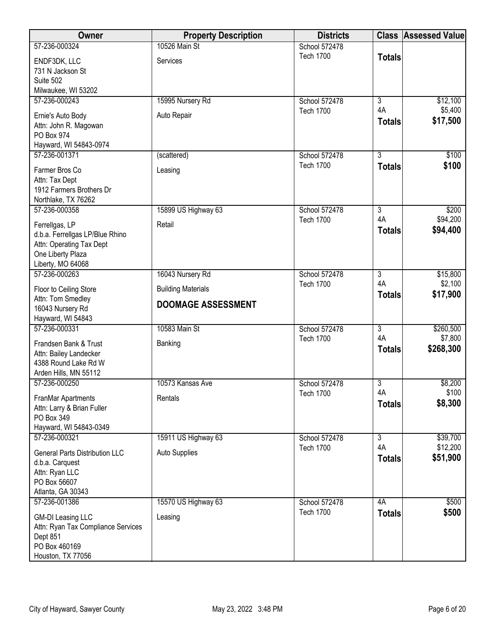| Owner                                   | <b>Property Description</b> | <b>Districts</b>                  |                      | <b>Class Assessed Value</b> |
|-----------------------------------------|-----------------------------|-----------------------------------|----------------------|-----------------------------|
| 57-236-000324                           | 10526 Main St               | School 572478                     |                      |                             |
| ENDF3DK, LLC                            | Services                    | <b>Tech 1700</b>                  | <b>Totals</b>        |                             |
| 731 N Jackson St                        |                             |                                   |                      |                             |
| Suite 502                               |                             |                                   |                      |                             |
| Milwaukee, WI 53202<br>57-236-000243    |                             | School 572478                     | 3                    |                             |
|                                         | 15995 Nursery Rd            | <b>Tech 1700</b>                  | 4A                   | \$12,100<br>\$5,400         |
| Ernie's Auto Body                       | Auto Repair                 |                                   | <b>Totals</b>        | \$17,500                    |
| Attn: John R. Magowan                   |                             |                                   |                      |                             |
| PO Box 974<br>Hayward, WI 54843-0974    |                             |                                   |                      |                             |
| 57-236-001371                           | (scattered)                 | School 572478                     | $\overline{3}$       | \$100                       |
|                                         |                             | <b>Tech 1700</b>                  | <b>Totals</b>        | \$100                       |
| Farmer Bros Co<br>Attn: Tax Dept        | Leasing                     |                                   |                      |                             |
| 1912 Farmers Brothers Dr                |                             |                                   |                      |                             |
| Northlake, TX 76262                     |                             |                                   |                      |                             |
| 57-236-000358                           | 15899 US Highway 63         | School 572478                     | $\overline{3}$       | \$200                       |
| Ferrellgas, LP                          | Retail                      | <b>Tech 1700</b>                  | 4A                   | \$94,200                    |
| d.b.a. Ferrellgas LP/Blue Rhino         |                             |                                   | <b>Totals</b>        | \$94,400                    |
| Attn: Operating Tax Dept                |                             |                                   |                      |                             |
| One Liberty Plaza                       |                             |                                   |                      |                             |
| Liberty, MO 64068                       |                             |                                   |                      |                             |
| 57-236-000263                           | 16043 Nursery Rd            | School 572478<br><b>Tech 1700</b> | $\overline{3}$<br>4A | \$15,800<br>\$2,100         |
| Floor to Ceiling Store                  | <b>Building Materials</b>   |                                   | <b>Totals</b>        | \$17,900                    |
| Attn: Tom Smedley                       | <b>DOOMAGE ASSESSMENT</b>   |                                   |                      |                             |
| 16043 Nursery Rd<br>Hayward, WI 54843   |                             |                                   |                      |                             |
| 57-236-000331                           | 10583 Main St               | School 572478                     | $\overline{3}$       | \$260,500                   |
| Frandsen Bank & Trust                   | Banking                     | <b>Tech 1700</b>                  | 4A                   | \$7,800                     |
| Attn: Bailey Landecker                  |                             |                                   | <b>Totals</b>        | \$268,300                   |
| 4388 Round Lake Rd W                    |                             |                                   |                      |                             |
| Arden Hills, MN 55112                   |                             |                                   |                      |                             |
| 57-236-000250                           | 10573 Kansas Ave            | School 572478                     | 3                    | \$8,200                     |
| FranMar Apartments                      | Rentals                     | <b>Tech 1700</b>                  | 4A                   | \$100                       |
| Attn: Larry & Brian Fuller              |                             |                                   | <b>Totals</b>        | \$8,300                     |
| PO Box 349                              |                             |                                   |                      |                             |
| Hayward, WI 54843-0349<br>57-236-000321 |                             |                                   | $\overline{3}$       | \$39,700                    |
|                                         | 15911 US Highway 63         | School 572478<br><b>Tech 1700</b> | 4A                   | \$12,200                    |
| <b>General Parts Distribution LLC</b>   | <b>Auto Supplies</b>        |                                   | <b>Totals</b>        | \$51,900                    |
| d.b.a. Carquest                         |                             |                                   |                      |                             |
| Attn: Ryan LLC<br>PO Box 56607          |                             |                                   |                      |                             |
| Atlanta, GA 30343                       |                             |                                   |                      |                             |
| 57-236-001386                           | 15570 US Highway 63         | School 572478                     | 4A                   | \$500                       |
| <b>GM-DI Leasing LLC</b>                | Leasing                     | <b>Tech 1700</b>                  | <b>Totals</b>        | \$500                       |
| Attn: Ryan Tax Compliance Services      |                             |                                   |                      |                             |
| Dept 851                                |                             |                                   |                      |                             |
| PO Box 460169                           |                             |                                   |                      |                             |
| Houston, TX 77056                       |                             |                                   |                      |                             |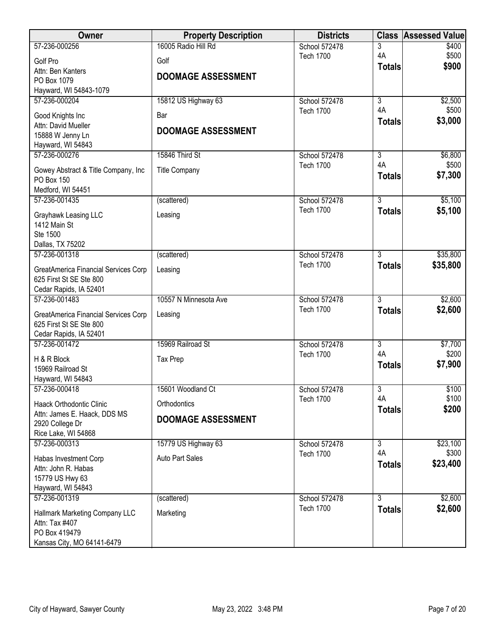| Owner                                              | <b>Property Description</b> | <b>Districts</b> |                     | <b>Class Assessed Value</b> |
|----------------------------------------------------|-----------------------------|------------------|---------------------|-----------------------------|
| 57-236-000256                                      | 16005 Radio Hill Rd         | School 572478    | 3                   | \$400                       |
| Golf Pro                                           | Golf                        | <b>Tech 1700</b> | 4A<br><b>Totals</b> | \$500<br>\$900              |
| Attn: Ben Kanters                                  | <b>DOOMAGE ASSESSMENT</b>   |                  |                     |                             |
| PO Box 1079<br>Hayward, WI 54843-1079              |                             |                  |                     |                             |
| 57-236-000204                                      | 15812 US Highway 63         | School 572478    | $\overline{3}$      | \$2,500                     |
| Good Knights Inc                                   | Bar                         | <b>Tech 1700</b> | 4A                  | \$500                       |
| Attn: David Mueller                                | <b>DOOMAGE ASSESSMENT</b>   |                  | <b>Totals</b>       | \$3,000                     |
| 15888 W Jenny Ln                                   |                             |                  |                     |                             |
| Hayward, WI 54843<br>57-236-000276                 | 15846 Third St              | School 572478    | $\overline{3}$      | \$6,800                     |
|                                                    |                             | <b>Tech 1700</b> | 4A                  | \$500                       |
| Gowey Abstract & Title Company, Inc.<br>PO Box 150 | <b>Title Company</b>        |                  | <b>Totals</b>       | \$7,300                     |
| Medford, WI 54451                                  |                             |                  |                     |                             |
| 57-236-001435                                      | (scattered)                 | School 572478    | $\overline{3}$      | \$5,100                     |
| Grayhawk Leasing LLC                               | Leasing                     | <b>Tech 1700</b> | <b>Totals</b>       | \$5,100                     |
| 1412 Main St                                       |                             |                  |                     |                             |
| Ste 1500                                           |                             |                  |                     |                             |
| Dallas, TX 75202<br>57-236-001318                  | (scattered)                 | School 572478    | $\overline{3}$      | \$35,800                    |
| GreatAmerica Financial Services Corp               | Leasing                     | <b>Tech 1700</b> | <b>Totals</b>       | \$35,800                    |
| 625 First St SE Ste 800                            |                             |                  |                     |                             |
| Cedar Rapids, IA 52401                             |                             |                  |                     |                             |
| 57-236-001483                                      | 10557 N Minnesota Ave       | School 572478    | $\overline{3}$      | \$2,600                     |
| GreatAmerica Financial Services Corp               | Leasing                     | <b>Tech 1700</b> | <b>Totals</b>       | \$2,600                     |
| 625 First St SE Ste 800                            |                             |                  |                     |                             |
| Cedar Rapids, IA 52401<br>57-236-001472            | 15969 Railroad St           | School 572478    | $\overline{3}$      | \$7,700                     |
|                                                    |                             | <b>Tech 1700</b> | 4A                  | \$200                       |
| H & R Block<br>15969 Railroad St                   | <b>Tax Prep</b>             |                  | <b>Totals</b>       | \$7,900                     |
| Hayward, WI 54843                                  |                             |                  |                     |                             |
| 57-236-000418                                      | 15601 Woodland Ct           | School 572478    | $\overline{3}$      | \$100                       |
| Haack Orthodontic Clinic                           | Orthodontics                | <b>Tech 1700</b> | 4A<br><b>Totals</b> | \$100<br>\$200              |
| Attn: James E. Haack, DDS MS                       | <b>DOOMAGE ASSESSMENT</b>   |                  |                     |                             |
| 2920 College Dr<br>Rice Lake, WI 54868             |                             |                  |                     |                             |
| 57-236-000313                                      | 15779 US Highway 63         | School 572478    | $\overline{3}$      | \$23,100                    |
| Habas Investment Corp                              | <b>Auto Part Sales</b>      | <b>Tech 1700</b> | 4A                  | \$300                       |
| Attn: John R. Habas                                |                             |                  | <b>Totals</b>       | \$23,400                    |
| 15779 US Hwy 63                                    |                             |                  |                     |                             |
| Hayward, WI 54843<br>57-236-001319                 | (scattered)                 | School 572478    | $\overline{3}$      | \$2,600                     |
|                                                    |                             | <b>Tech 1700</b> | <b>Totals</b>       | \$2,600                     |
| Hallmark Marketing Company LLC<br>Attn: Tax #407   | Marketing                   |                  |                     |                             |
| PO Box 419479                                      |                             |                  |                     |                             |
| Kansas City, MO 64141-6479                         |                             |                  |                     |                             |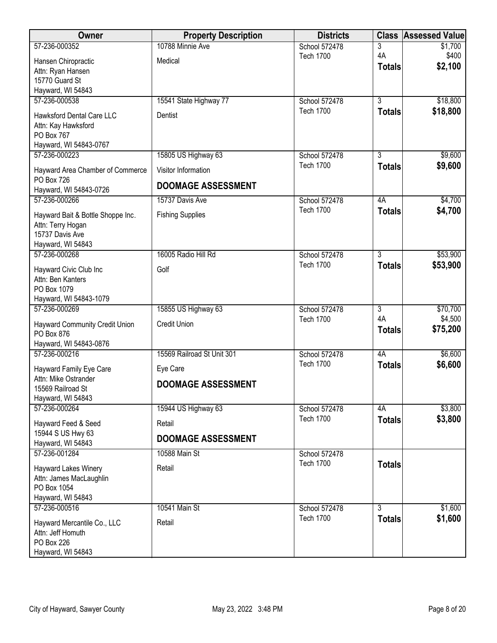| Owner                                                  | <b>Property Description</b> | <b>Districts</b> | <b>Class</b>   | <b>Assessed Value</b> |
|--------------------------------------------------------|-----------------------------|------------------|----------------|-----------------------|
| 57-236-000352                                          | 10788 Minnie Ave            | School 572478    | 3              | \$1,700               |
| Hansen Chiropractic                                    | Medical                     | <b>Tech 1700</b> | 4A             | \$400                 |
| Attn: Ryan Hansen                                      |                             |                  | <b>Totals</b>  | \$2,100               |
| 15770 Guard St                                         |                             |                  |                |                       |
| Hayward, WI 54843<br>57-236-000538                     | 15541 State Highway 77      | School 572478    | $\overline{3}$ | \$18,800              |
|                                                        |                             | <b>Tech 1700</b> | <b>Totals</b>  | \$18,800              |
| <b>Hawksford Dental Care LLC</b>                       | Dentist                     |                  |                |                       |
| Attn: Kay Hawksford<br>PO Box 767                      |                             |                  |                |                       |
| Hayward, WI 54843-0767                                 |                             |                  |                |                       |
| 57-236-000223                                          | 15805 US Highway 63         | School 572478    | $\overline{3}$ | \$9,600               |
| Hayward Area Chamber of Commerce                       | Visitor Information         | <b>Tech 1700</b> | <b>Totals</b>  | \$9,600               |
| <b>PO Box 726</b><br>Hayward, WI 54843-0726            | <b>DOOMAGE ASSESSMENT</b>   |                  |                |                       |
| 57-236-000266                                          | 15737 Davis Ave             | School 572478    | 4A             | \$4,700               |
|                                                        | <b>Fishing Supplies</b>     | <b>Tech 1700</b> | <b>Totals</b>  | \$4,700               |
| Hayward Bait & Bottle Shoppe Inc.<br>Attn: Terry Hogan |                             |                  |                |                       |
| 15737 Davis Ave                                        |                             |                  |                |                       |
| Hayward, WI 54843                                      |                             |                  |                |                       |
| 57-236-000268                                          | 16005 Radio Hill Rd         | School 572478    | $\overline{3}$ | \$53,900              |
| Hayward Civic Club Inc                                 | Golf                        | <b>Tech 1700</b> | <b>Totals</b>  | \$53,900              |
| Attn: Ben Kanters                                      |                             |                  |                |                       |
| PO Box 1079                                            |                             |                  |                |                       |
| Hayward, WI 54843-1079<br>57-236-000269                | 15855 US Highway 63         | School 572478    | $\overline{3}$ | \$70,700              |
|                                                        |                             | <b>Tech 1700</b> | 4A             | \$4,500               |
| Hayward Community Credit Union<br>PO Box 876           | <b>Credit Union</b>         |                  | <b>Totals</b>  | \$75,200              |
| Hayward, WI 54843-0876                                 |                             |                  |                |                       |
| 57-236-000216                                          | 15569 Railroad St Unit 301  | School 572478    | 4A             | \$6,600               |
| Hayward Family Eye Care                                | Eye Care                    | <b>Tech 1700</b> | <b>Totals</b>  | \$6,600               |
| Attn: Mike Ostrander                                   |                             |                  |                |                       |
| 15569 Railroad St                                      | <b>DOOMAGE ASSESSMENT</b>   |                  |                |                       |
| Hayward, WI 54843                                      |                             |                  |                |                       |
| 57-236-000264                                          | 15944 US Highway 63         | School 572478    | 4A             | \$3,800               |
| Hayward Feed & Seed                                    | Retail                      | <b>Tech 1700</b> | <b>Totals</b>  | \$3,800               |
| 15944 S US Hwy 63<br>Hayward, WI 54843                 | <b>DOOMAGE ASSESSMENT</b>   |                  |                |                       |
| 57-236-001284                                          | 10588 Main St               | School 572478    |                |                       |
| Hayward Lakes Winery                                   | Retail                      | <b>Tech 1700</b> | <b>Totals</b>  |                       |
| Attn: James MacLaughlin                                |                             |                  |                |                       |
| PO Box 1054                                            |                             |                  |                |                       |
| Hayward, WI 54843<br>57-236-000516                     | 10541 Main St               | School 572478    | $\overline{3}$ | \$1,600               |
|                                                        |                             | <b>Tech 1700</b> | <b>Totals</b>  | \$1,600               |
| Hayward Mercantile Co., LLC                            | Retail                      |                  |                |                       |
| Attn: Jeff Homuth<br>PO Box 226                        |                             |                  |                |                       |
| Hayward, WI 54843                                      |                             |                  |                |                       |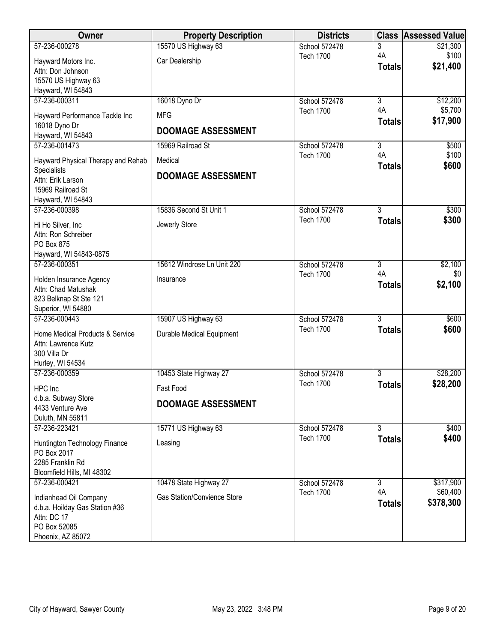| Owner                                                                      | <b>Property Description</b>        | <b>Districts</b> |                      | <b>Class Assessed Value</b> |
|----------------------------------------------------------------------------|------------------------------------|------------------|----------------------|-----------------------------|
| 57-236-000278                                                              | 15570 US Highway 63                | School 572478    | 3                    | \$21,300                    |
| Hayward Motors Inc.<br>Attn: Don Johnson                                   | Car Dealership                     | <b>Tech 1700</b> | 4A<br><b>Totals</b>  | \$100<br>\$21,400           |
| 15570 US Highway 63                                                        |                                    |                  |                      |                             |
| Hayward, WI 54843                                                          |                                    |                  |                      |                             |
| 57-236-000311                                                              | 16018 Dyno Dr                      | School 572478    | $\overline{3}$       | \$12,200                    |
| Hayward Performance Tackle Inc                                             | <b>MFG</b>                         | <b>Tech 1700</b> | 4A<br><b>Totals</b>  | \$5,700<br>\$17,900         |
| 16018 Dyno Dr<br>Hayward, WI 54843                                         | <b>DOOMAGE ASSESSMENT</b>          |                  |                      |                             |
| 57-236-001473                                                              | 15969 Railroad St                  | School 572478    | $\overline{3}$       | \$500                       |
| Hayward Physical Therapy and Rehab                                         | Medical                            | <b>Tech 1700</b> | 4A<br><b>Totals</b>  | \$100<br>\$600              |
| Specialists<br>Attn: Erik Larson<br>15969 Railroad St<br>Hayward, WI 54843 | <b>DOOMAGE ASSESSMENT</b>          |                  |                      |                             |
| 57-236-000398                                                              | 15836 Second St Unit 1             | School 572478    | $\overline{3}$       | \$300                       |
| Hi Ho Silver, Inc                                                          | Jewerly Store                      | <b>Tech 1700</b> | <b>Totals</b>        | \$300                       |
| Attn: Ron Schreiber<br>PO Box 875                                          |                                    |                  |                      |                             |
| Hayward, WI 54843-0875                                                     |                                    |                  |                      |                             |
| 57-236-000351                                                              | 15612 Windrose Ln Unit 220         | School 572478    | $\overline{3}$<br>4A | \$2,100                     |
| Holden Insurance Agency<br>Attn: Chad Matushak                             | Insurance                          | <b>Tech 1700</b> | <b>Totals</b>        | \$0<br>\$2,100              |
| 823 Belknap St Ste 121<br>Superior, WI 54880                               |                                    |                  |                      |                             |
| 57-236-000443                                                              | 15907 US Highway 63                | School 572478    | $\overline{3}$       | \$600                       |
| Home Medical Products & Service<br>Attn: Lawrence Kutz                     | <b>Durable Medical Equipment</b>   | <b>Tech 1700</b> | <b>Totals</b>        | \$600                       |
| 300 Villa Dr<br>Hurley, WI 54534                                           |                                    |                  |                      |                             |
| 57-236-000359                                                              | 10453 State Highway 27             | School 572478    | $\overline{3}$       | \$28,200                    |
| HPC Inc                                                                    | Fast Food                          | <b>Tech 1700</b> | <b>Totals</b>        | \$28,200                    |
| d.b.a. Subway Store                                                        |                                    |                  |                      |                             |
| 4433 Venture Ave<br>Duluth, MN 55811                                       | <b>DOOMAGE ASSESSMENT</b>          |                  |                      |                             |
| 57-236-223421                                                              | 15771 US Highway 63                | School 572478    | $\overline{3}$       | \$400                       |
| Huntington Technology Finance<br>PO Box 2017                               | Leasing                            | <b>Tech 1700</b> | <b>Totals</b>        | \$400                       |
| 2285 Franklin Rd                                                           |                                    |                  |                      |                             |
| Bloomfield Hills, MI 48302                                                 |                                    |                  |                      |                             |
| 57-236-000421                                                              | 10478 State Highway 27             | School 572478    | $\overline{3}$       | \$317,900                   |
| Indianhead Oil Company                                                     | <b>Gas Station/Convience Store</b> | <b>Tech 1700</b> | 4A                   | \$60,400                    |
| d.b.a. Hoilday Gas Station #36                                             |                                    |                  | <b>Totals</b>        | \$378,300                   |
| Attn: DC 17                                                                |                                    |                  |                      |                             |
| PO Box 52085<br>Phoenix, AZ 85072                                          |                                    |                  |                      |                             |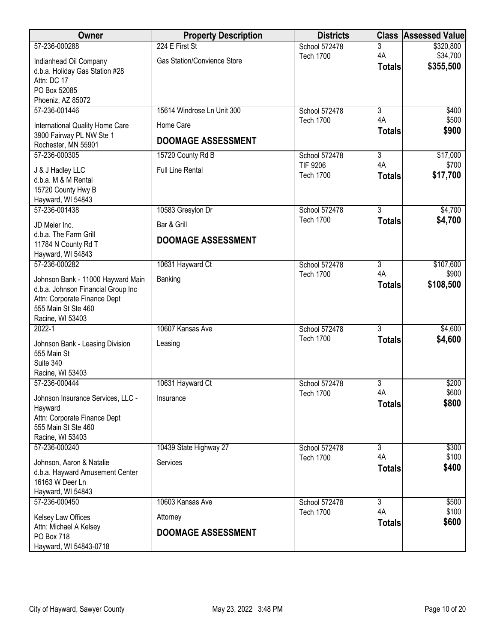| Owner                                                       | <b>Property Description</b>        | <b>Districts</b>                  | <b>Class</b>        | <b>Assessed Value</b> |
|-------------------------------------------------------------|------------------------------------|-----------------------------------|---------------------|-----------------------|
| 57-236-000288                                               | 224 E First St                     | School 572478                     | 3                   | \$320,800             |
| Indianhead Oil Company<br>d.b.a. Holiday Gas Station #28    | <b>Gas Station/Convience Store</b> | <b>Tech 1700</b>                  | 4A<br><b>Totals</b> | \$34,700<br>\$355,500 |
| Attn: DC 17<br>PO Box 52085                                 |                                    |                                   |                     |                       |
| Phoeniz, AZ 85072                                           |                                    |                                   |                     |                       |
| 57-236-001446                                               | 15614 Windrose Ln Unit 300         | School 572478                     | $\overline{3}$      | \$400                 |
| International Quality Home Care<br>3900 Fairway PL NW Ste 1 | Home Care                          | <b>Tech 1700</b>                  | 4A<br><b>Totals</b> | \$500<br>\$900        |
| Rochester, MN 55901                                         | <b>DOOMAGE ASSESSMENT</b>          |                                   |                     |                       |
| 57-236-000305                                               | 15720 County Rd B                  | School 572478                     | $\overline{3}$      | \$17,000              |
| J & J Hadley LLC<br>d.b.a. M & M Rental                     | <b>Full Line Rental</b>            | TIF 9206<br><b>Tech 1700</b>      | 4A<br><b>Totals</b> | \$700<br>\$17,700     |
| 15720 County Hwy B<br>Hayward, WI 54843                     |                                    |                                   |                     |                       |
| 57-236-001438                                               | 10583 Gresylon Dr                  | School 572478                     | 3                   | \$4,700               |
| JD Meier Inc.                                               | Bar & Grill                        | <b>Tech 1700</b>                  | <b>Totals</b>       | \$4,700               |
| d.b.a. The Farm Grill<br>11784 N County Rd T                | <b>DOOMAGE ASSESSMENT</b>          |                                   |                     |                       |
| Hayward, WI 54843                                           |                                    |                                   |                     |                       |
| 57-236-000282                                               | 10631 Hayward Ct                   | School 572478                     | $\overline{3}$      | \$107,600             |
| Johnson Bank - 11000 Hayward Main                           | Banking                            | <b>Tech 1700</b>                  | 4A                  | \$900                 |
| d.b.a. Johnson Financial Group Inc                          |                                    |                                   | <b>Totals</b>       | \$108,500             |
| Attn: Corporate Finance Dept                                |                                    |                                   |                     |                       |
| 555 Main St Ste 460<br>Racine, WI 53403                     |                                    |                                   |                     |                       |
| $2022 - 1$                                                  | 10607 Kansas Ave                   | School 572478                     | $\overline{3}$      | \$4,600               |
| Johnson Bank - Leasing Division                             | Leasing                            | <b>Tech 1700</b>                  | <b>Totals</b>       | \$4,600               |
| 555 Main St                                                 |                                    |                                   |                     |                       |
| Suite 340                                                   |                                    |                                   |                     |                       |
| Racine, WI 53403                                            |                                    |                                   |                     |                       |
| 57-236-000444                                               | 10631 Hayward Ct                   | School 572478<br><b>Tech 1700</b> | 3<br>4A             | \$200<br>\$600        |
| Johnson Insurance Services, LLC -                           | Insurance                          |                                   | <b>Totals</b>       | \$800                 |
| Hayward<br>Attn: Corporate Finance Dept                     |                                    |                                   |                     |                       |
| 555 Main St Ste 460                                         |                                    |                                   |                     |                       |
| Racine, WI 53403                                            |                                    |                                   |                     |                       |
| 57-236-000240                                               | 10439 State Highway 27             | School 572478                     | $\overline{3}$      | \$300                 |
| Johnson, Aaron & Natalie                                    | Services                           | <b>Tech 1700</b>                  | 4A<br><b>Totals</b> | \$100<br>\$400        |
| d.b.a. Hayward Amusement Center                             |                                    |                                   |                     |                       |
| 16163 W Deer Ln<br>Hayward, WI 54843                        |                                    |                                   |                     |                       |
| 57-236-000450                                               | 10603 Kansas Ave                   | School 572478                     | 3                   | \$500                 |
| Kelsey Law Offices                                          | Attorney                           | <b>Tech 1700</b>                  | 4A                  | \$100                 |
| Attn: Michael A Kelsey                                      |                                    |                                   | <b>Totals</b>       | \$600                 |
| PO Box 718                                                  | <b>DOOMAGE ASSESSMENT</b>          |                                   |                     |                       |
| Hayward, WI 54843-0718                                      |                                    |                                   |                     |                       |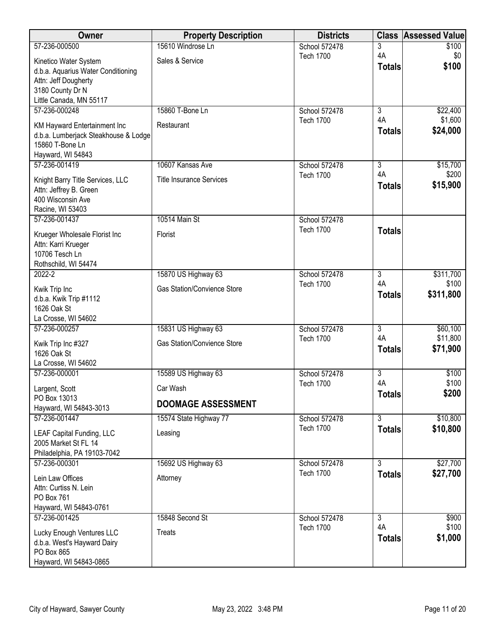| Owner                                                      | <b>Property Description</b>        | <b>Districts</b> | <b>Class</b>        | <b>Assessed Value</b> |
|------------------------------------------------------------|------------------------------------|------------------|---------------------|-----------------------|
| 57-236-000500                                              | 15610 Windrose Ln                  | School 572478    | 3                   | \$100                 |
| Kinetico Water System                                      | Sales & Service                    | <b>Tech 1700</b> | 4A                  | \$0<br>\$100          |
| d.b.a. Aquarius Water Conditioning                         |                                    |                  | <b>Totals</b>       |                       |
| Attn: Jeff Dougherty                                       |                                    |                  |                     |                       |
| 3180 County Dr N<br>Little Canada, MN 55117                |                                    |                  |                     |                       |
| 57-236-000248                                              | 15860 T-Bone Ln                    | School 572478    | $\overline{3}$      | \$22,400              |
| KM Hayward Entertainment Inc                               | Restaurant                         | <b>Tech 1700</b> | 4A                  | \$1,600               |
| d.b.a. Lumberjack Steakhouse & Lodge                       |                                    |                  | <b>Totals</b>       | \$24,000              |
| 15860 T-Bone Ln                                            |                                    |                  |                     |                       |
| Hayward, WI 54843<br>57-236-001419                         | 10607 Kansas Ave                   | School 572478    | $\overline{3}$      | \$15,700              |
|                                                            |                                    | <b>Tech 1700</b> | 4A                  | \$200                 |
| Knight Barry Title Services, LLC<br>Attn: Jeffrey B. Green | <b>Title Insurance Services</b>    |                  | <b>Totals</b>       | \$15,900              |
| 400 Wisconsin Ave                                          |                                    |                  |                     |                       |
| Racine, WI 53403                                           |                                    |                  |                     |                       |
| 57-236-001437                                              | 10514 Main St                      | School 572478    |                     |                       |
| Krueger Wholesale Florist Inc                              | Florist                            | <b>Tech 1700</b> | <b>Totals</b>       |                       |
| Attn: Karri Krueger<br>10706 Tesch Ln                      |                                    |                  |                     |                       |
| Rothschild, WI 54474                                       |                                    |                  |                     |                       |
| 2022-2                                                     | 15870 US Highway 63                | School 572478    | $\overline{3}$      | \$311,700             |
| Kwik Trip Inc                                              | <b>Gas Station/Convience Store</b> | <b>Tech 1700</b> | 4A                  | \$100                 |
| d.b.a. Kwik Trip #1112                                     |                                    |                  | <b>Totals</b>       | \$311,800             |
| 1626 Oak St                                                |                                    |                  |                     |                       |
| La Crosse, WI 54602<br>57-236-000257                       | 15831 US Highway 63                | School 572478    | $\overline{3}$      | \$60,100              |
|                                                            | <b>Gas Station/Convience Store</b> | <b>Tech 1700</b> | 4A                  | \$11,800              |
| Kwik Trip Inc #327<br>1626 Oak St                          |                                    |                  | <b>Totals</b>       | \$71,900              |
| La Crosse, WI 54602                                        |                                    |                  |                     |                       |
| 57-236-000001                                              | 15589 US Highway 63                | School 572478    | $\overline{3}$      | \$100                 |
| Largent, Scott                                             | Car Wash                           | <b>Tech 1700</b> | 4A<br><b>Totals</b> | \$100<br>\$200        |
| PO Box 13013<br>Hayward, WI 54843-3013                     | <b>DOOMAGE ASSESSMENT</b>          |                  |                     |                       |
| 57-236-001447                                              | 15574 State Highway 77             | School 572478    | $\overline{3}$      | \$10,800              |
| <b>LEAF Capital Funding, LLC</b>                           | Leasing                            | <b>Tech 1700</b> | <b>Totals</b>       | \$10,800              |
| 2005 Market St FL 14                                       |                                    |                  |                     |                       |
| Philadelphia, PA 19103-7042                                |                                    |                  |                     |                       |
| 57-236-000301                                              | 15692 US Highway 63                | School 572478    | $\overline{3}$      | \$27,700              |
| Lein Law Offices                                           | Attorney                           | <b>Tech 1700</b> | <b>Totals</b>       | \$27,700              |
| Attn: Curtiss N. Lein<br>PO Box 761                        |                                    |                  |                     |                       |
| Hayward, WI 54843-0761                                     |                                    |                  |                     |                       |
| 57-236-001425                                              | 15848 Second St                    | School 572478    | $\overline{3}$      | \$900                 |
| Lucky Enough Ventures LLC                                  | Treats                             | <b>Tech 1700</b> | 4A                  | \$100                 |
| d.b.a. West's Hayward Dairy                                |                                    |                  | <b>Totals</b>       | \$1,000               |
| PO Box 865                                                 |                                    |                  |                     |                       |
| Hayward, WI 54843-0865                                     |                                    |                  |                     |                       |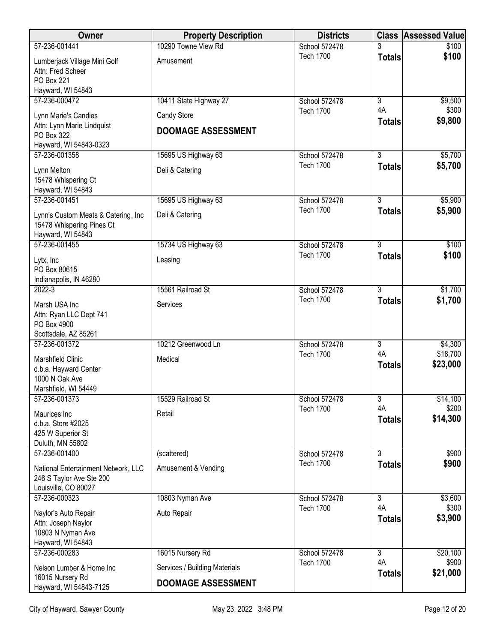| <b>Owner</b>                                                                            | <b>Property Description</b>   | <b>Districts</b>                  |                      | <b>Class Assessed Value</b> |
|-----------------------------------------------------------------------------------------|-------------------------------|-----------------------------------|----------------------|-----------------------------|
| 57-236-001441                                                                           | 10290 Towne View Rd           | School 572478                     |                      | \$100                       |
| Lumberjack Village Mini Golf<br>Attn: Fred Scheer<br>PO Box 221                         | Amusement                     | <b>Tech 1700</b>                  | <b>Totals</b>        | \$100                       |
| Hayward, WI 54843                                                                       |                               |                                   |                      |                             |
| 57-236-000472                                                                           | 10411 State Highway 27        | School 572478<br><b>Tech 1700</b> | $\overline{3}$<br>4A | \$9,500<br>\$300            |
| Lynn Marie's Candies                                                                    | Candy Store                   |                                   | <b>Totals</b>        | \$9,800                     |
| Attn: Lynn Marie Lindquist<br>PO Box 322<br>Hayward, WI 54843-0323                      | <b>DOOMAGE ASSESSMENT</b>     |                                   |                      |                             |
| 57-236-001358                                                                           | 15695 US Highway 63           | School 572478                     | $\overline{3}$       | \$5,700                     |
| Lynn Melton<br>15478 Whispering Ct                                                      | Deli & Catering               | <b>Tech 1700</b>                  | <b>Totals</b>        | \$5,700                     |
| Hayward, WI 54843                                                                       |                               |                                   |                      |                             |
| 57-236-001451                                                                           | 15695 US Highway 63           | School 572478<br><b>Tech 1700</b> | $\overline{3}$       | \$5,900                     |
| Lynn's Custom Meats & Catering, Inc<br>15478 Whispering Pines Ct<br>Hayward, WI 54843   | Deli & Catering               |                                   | <b>Totals</b>        | \$5,900                     |
| 57-236-001455                                                                           | 15734 US Highway 63           | School 572478                     | $\overline{3}$       | \$100                       |
| Lytx, Inc<br>PO Box 80615<br>Indianapolis, IN 46280                                     | Leasing                       | <b>Tech 1700</b>                  | <b>Totals</b>        | \$100                       |
| $2022 - 3$                                                                              | 15561 Railroad St             | School 572478                     | $\overline{3}$       | \$1,700                     |
| Marsh USA Inc<br>Attn: Ryan LLC Dept 741<br>PO Box 4900<br>Scottsdale, AZ 85261         | Services                      | <b>Tech 1700</b>                  | <b>Totals</b>        | \$1,700                     |
| 57-236-001372                                                                           | 10212 Greenwood Ln            | School 572478                     | $\overline{3}$       | \$4,300                     |
| Marshfield Clinic<br>d.b.a. Hayward Center<br>1000 N Oak Ave<br>Marshfield, WI 54449    | Medical                       | <b>Tech 1700</b>                  | 4A<br><b>Totals</b>  | \$18,700<br>\$23,000        |
| 57-236-001373                                                                           | 15529 Railroad St             | School 572478                     | 3                    | \$14,100                    |
| Maurices Inc<br>d.b.a. Store #2025<br>425 W Superior St<br>Duluth, MN 55802             | Retail                        | <b>Tech 1700</b>                  | 4A<br><b>Totals</b>  | \$200<br>\$14,300           |
| 57-236-001400                                                                           | (scattered)                   | School 572478                     | $\overline{3}$       | \$900                       |
| National Entertainment Network, LLC<br>246 S Taylor Ave Ste 200<br>Louisville, CO 80027 | Amusement & Vending           | <b>Tech 1700</b>                  | <b>Totals</b>        | \$900                       |
| 57-236-000323                                                                           | 10803 Nyman Ave               | School 572478                     | $\overline{3}$       | \$3,600                     |
| Naylor's Auto Repair<br>Attn: Joseph Naylor<br>10803 N Nyman Ave<br>Hayward, WI 54843   | Auto Repair                   | <b>Tech 1700</b>                  | 4A<br><b>Totals</b>  | \$300<br>\$3,900            |
| 57-236-000283                                                                           | 16015 Nursery Rd              | School 572478                     | $\overline{3}$<br>4A | \$20,100                    |
| Nelson Lumber & Home Inc                                                                | Services / Building Materials | <b>Tech 1700</b>                  | <b>Totals</b>        | \$900<br>\$21,000           |
| 16015 Nursery Rd<br>Hayward, WI 54843-7125                                              | <b>DOOMAGE ASSESSMENT</b>     |                                   |                      |                             |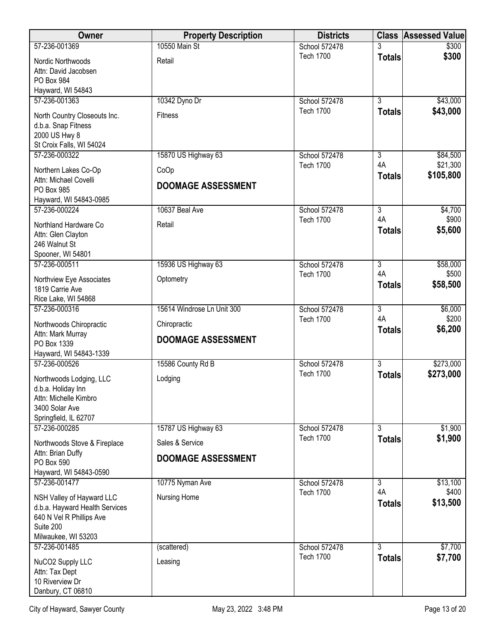| <b>Owner</b>                                                                                                                | <b>Property Description</b>               | <b>Districts</b> |                     | <b>Class Assessed Value</b> |
|-----------------------------------------------------------------------------------------------------------------------------|-------------------------------------------|------------------|---------------------|-----------------------------|
| 57-236-001369                                                                                                               | 10550 Main St                             | School 572478    |                     | \$300                       |
| Nordic Northwoods<br>Attn: David Jacobsen<br>PO Box 984<br>Hayward, WI 54843                                                | Retail                                    | <b>Tech 1700</b> | <b>Totals</b>       | \$300                       |
| 57-236-001363                                                                                                               | 10342 Dyno Dr                             | School 572478    | $\overline{3}$      | \$43,000                    |
| North Country Closeouts Inc.<br>d.b.a. Snap Fitness<br>2000 US Hwy 8<br>St Croix Falls, WI 54024                            | <b>Fitness</b>                            | <b>Tech 1700</b> | <b>Totals</b>       | \$43,000                    |
| 57-236-000322                                                                                                               | 15870 US Highway 63                       | School 572478    | 3                   | \$84,500                    |
| Northern Lakes Co-Op<br>Attn: Michael Covelli<br>PO Box 985<br>Hayward, WI 54843-0985                                       | CoOp<br><b>DOOMAGE ASSESSMENT</b>         | <b>Tech 1700</b> | 4A<br><b>Totals</b> | \$21,300<br>\$105,800       |
| 57-236-000224                                                                                                               | 10637 Beal Ave                            | School 572478    | $\overline{3}$      | \$4,700                     |
| Northland Hardware Co<br>Attn: Glen Clayton<br>246 Walnut St<br>Spooner, WI 54801                                           | Retail                                    | <b>Tech 1700</b> | 4A<br><b>Totals</b> | \$900<br>\$5,600            |
| 57-236-000511                                                                                                               | 15936 US Highway 63                       | School 572478    | $\overline{3}$      | \$58,000                    |
| Northview Eye Associates<br>1819 Carrie Ave<br>Rice Lake, WI 54868                                                          | Optometry                                 | <b>Tech 1700</b> | 4A<br><b>Totals</b> | \$500<br>\$58,500           |
| 57-236-000316                                                                                                               | 15614 Windrose Ln Unit 300                | School 572478    | $\overline{3}$      | \$6,000                     |
| Northwoods Chiropractic<br>Attn: Mark Murray<br>PO Box 1339<br>Hayward, WI 54843-1339                                       | Chiropractic<br><b>DOOMAGE ASSESSMENT</b> | <b>Tech 1700</b> | 4A<br><b>Totals</b> | \$200<br>\$6,200            |
| 57-236-000526                                                                                                               | 15586 County Rd B                         | School 572478    | $\overline{3}$      | \$273,000                   |
| Northwoods Lodging, LLC<br>d.b.a. Holiday Inn<br>Attn: Michelle Kimbro<br>3400 Solar Ave<br>Springfield, IL 62707           | Lodging                                   | <b>Tech 1700</b> | <b>Totals</b>       | \$273,000                   |
| 57-236-000285                                                                                                               | 15787 US Highway 63                       | School 572478    | $\overline{3}$      | \$1,900                     |
| Northwoods Stove & Fireplace                                                                                                | Sales & Service                           | <b>Tech 1700</b> | <b>Totals</b>       | \$1,900                     |
| Attn: Brian Duffy<br>PO Box 590<br>Hayward, WI 54843-0590                                                                   | <b>DOOMAGE ASSESSMENT</b>                 |                  |                     |                             |
| 57-236-001477                                                                                                               | 10775 Nyman Ave                           | School 572478    | $\overline{3}$      | \$13,100                    |
| NSH Valley of Hayward LLC<br>d.b.a. Hayward Health Services<br>640 N Vel R Phillips Ave<br>Suite 200<br>Milwaukee, WI 53203 | Nursing Home                              | <b>Tech 1700</b> | 4A<br><b>Totals</b> | \$400<br>\$13,500           |
| 57-236-001485                                                                                                               | (scattered)                               | School 572478    | 3                   | \$7,700                     |
| NuCO2 Supply LLC<br>Attn: Tax Dept<br>10 Riverview Dr<br>Danbury, CT 06810                                                  | Leasing                                   | <b>Tech 1700</b> | <b>Totals</b>       | \$7,700                     |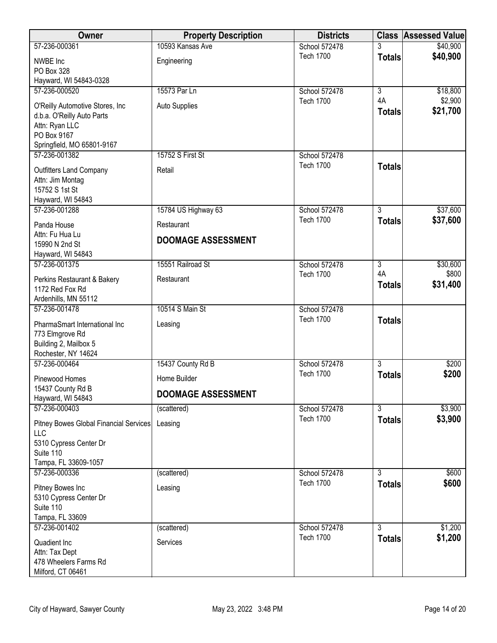| Owner                                        | <b>Property Description</b> | <b>Districts</b>                  |                | <b>Class Assessed Value</b> |
|----------------------------------------------|-----------------------------|-----------------------------------|----------------|-----------------------------|
| 57-236-000361                                | 10593 Kansas Ave            | School 572478                     |                | \$40,900                    |
| NWBE Inc                                     | Engineering                 | <b>Tech 1700</b>                  | <b>Totals</b>  | \$40,900                    |
| PO Box 328                                   |                             |                                   |                |                             |
| Hayward, WI 54843-0328                       |                             |                                   |                |                             |
| 57-236-000520                                | 15573 Par Ln                | School 572478                     | 3              | \$18,800                    |
| O'Reilly Automotive Stores, Inc              | <b>Auto Supplies</b>        | <b>Tech 1700</b>                  | 4A             | \$2,900                     |
| d.b.a. O'Reilly Auto Parts                   |                             |                                   | <b>Totals</b>  | \$21,700                    |
| Attn: Ryan LLC                               |                             |                                   |                |                             |
| PO Box 9167                                  |                             |                                   |                |                             |
| Springfield, MO 65801-9167                   |                             |                                   |                |                             |
| 57-236-001382                                | 15752 S First St            | School 572478<br><b>Tech 1700</b> |                |                             |
| <b>Outfitters Land Company</b>               | Retail                      |                                   | <b>Totals</b>  |                             |
| Attn: Jim Montag                             |                             |                                   |                |                             |
| 15752 S 1st St                               |                             |                                   |                |                             |
| Hayward, WI 54843                            |                             |                                   | $\overline{3}$ |                             |
| 57-236-001288                                | 15784 US Highway 63         | School 572478<br><b>Tech 1700</b> |                | \$37,600<br>\$37,600        |
| Panda House                                  | Restaurant                  |                                   | <b>Totals</b>  |                             |
| Attn: Fu Hua Lu                              | <b>DOOMAGE ASSESSMENT</b>   |                                   |                |                             |
| 15990 N 2nd St                               |                             |                                   |                |                             |
| Hayward, WI 54843<br>57-236-001375           | 15551 Railroad St           | School 572478                     | $\overline{3}$ | \$30,600                    |
|                                              |                             | <b>Tech 1700</b>                  | 4A             | \$800                       |
| Perkins Restaurant & Bakery                  | Restaurant                  |                                   | <b>Totals</b>  | \$31,400                    |
| 1172 Red Fox Rd                              |                             |                                   |                |                             |
| Ardenhills, MN 55112<br>57-236-001478        | 10514 S Main St             | School 572478                     |                |                             |
|                                              |                             | <b>Tech 1700</b>                  | <b>Totals</b>  |                             |
| PharmaSmart International Inc                | Leasing                     |                                   |                |                             |
| 773 Elmgrove Rd                              |                             |                                   |                |                             |
| Building 2, Mailbox 5<br>Rochester, NY 14624 |                             |                                   |                |                             |
| 57-236-000464                                | 15437 County Rd B           | School 572478                     | $\overline{3}$ | \$200                       |
|                                              |                             | <b>Tech 1700</b>                  | <b>Totals</b>  | \$200                       |
| Pinewood Homes                               | Home Builder                |                                   |                |                             |
| 15437 County Rd B<br>Hayward, WI 54843       | <b>DOOMAGE ASSESSMENT</b>   |                                   |                |                             |
| 57-236-000403                                | (scattered)                 | School 572478                     | $\overline{3}$ | \$3,900                     |
|                                              |                             | <b>Tech 1700</b>                  | <b>Totals</b>  | \$3,900                     |
| Pitney Bowes Global Financial Services       | Leasing                     |                                   |                |                             |
| LLC<br>5310 Cypress Center Dr                |                             |                                   |                |                             |
| Suite 110                                    |                             |                                   |                |                             |
| Tampa, FL 33609-1057                         |                             |                                   |                |                             |
| 57-236-000336                                | (scattered)                 | School 572478                     | $\overline{3}$ | \$600                       |
| Pitney Bowes Inc                             | Leasing                     | <b>Tech 1700</b>                  | <b>Totals</b>  | \$600                       |
| 5310 Cypress Center Dr                       |                             |                                   |                |                             |
| Suite 110                                    |                             |                                   |                |                             |
| Tampa, FL 33609                              |                             |                                   |                |                             |
| 57-236-001402                                | (scattered)                 | School 572478                     | $\overline{3}$ | \$1,200                     |
| Quadient Inc                                 | Services                    | <b>Tech 1700</b>                  | <b>Totals</b>  | \$1,200                     |
| Attn: Tax Dept                               |                             |                                   |                |                             |
| 478 Wheelers Farms Rd                        |                             |                                   |                |                             |
| Milford, CT 06461                            |                             |                                   |                |                             |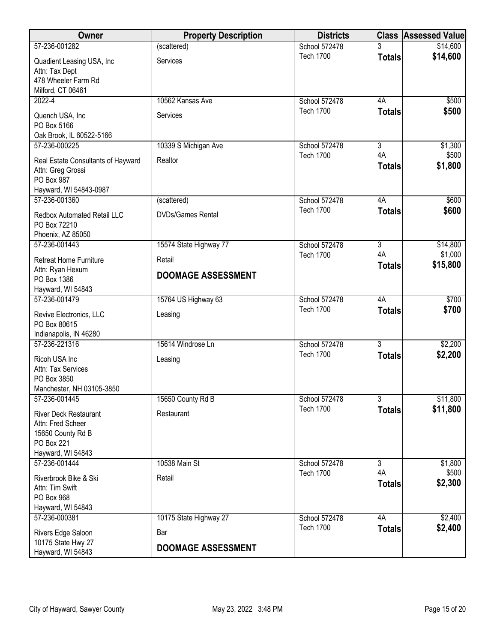| Owner                                                                                                            | <b>Property Description</b>     | <b>Districts</b>                  |                                       | <b>Class Assessed Value</b> |
|------------------------------------------------------------------------------------------------------------------|---------------------------------|-----------------------------------|---------------------------------------|-----------------------------|
| 57-236-001282                                                                                                    | (scattered)                     | School 572478                     |                                       | \$14,600                    |
| Quadient Leasing USA, Inc<br>Attn: Tax Dept                                                                      | Services                        | <b>Tech 1700</b>                  | <b>Totals</b>                         | \$14,600                    |
| 478 Wheeler Farm Rd<br>Milford, CT 06461                                                                         |                                 |                                   |                                       |                             |
| $2022 - 4$                                                                                                       | 10562 Kansas Ave                | School 572478                     | 4A                                    | \$500                       |
| Quench USA, Inc<br>PO Box 5166                                                                                   | Services                        | <b>Tech 1700</b>                  | <b>Totals</b>                         | \$500                       |
| Oak Brook, IL 60522-5166                                                                                         |                                 |                                   |                                       |                             |
| 57-236-000225<br>Real Estate Consultants of Hayward<br>Attn: Greg Grossi<br>PO Box 987<br>Hayward, WI 54843-0987 | 10339 S Michigan Ave<br>Realtor | School 572478<br><b>Tech 1700</b> | $\overline{3}$<br>4A<br><b>Totals</b> | \$1,300<br>\$500<br>\$1,800 |
| 57-236-001360                                                                                                    | (scattered)                     | School 572478                     | 4A                                    | \$600                       |
| Redbox Automated Retail LLC<br>PO Box 72210<br>Phoenix, AZ 85050                                                 | <b>DVDs/Games Rental</b>        | <b>Tech 1700</b>                  | <b>Totals</b>                         | \$600                       |
| 57-236-001443                                                                                                    | 15574 State Highway 77          | School 572478                     | $\overline{3}$                        | \$14,800                    |
| <b>Retreat Home Furniture</b><br>Attn: Ryan Hexum                                                                | Retail                          | <b>Tech 1700</b>                  | 4A<br><b>Totals</b>                   | \$1,000<br>\$15,800         |
| PO Box 1386<br>Hayward, WI 54843                                                                                 | <b>DOOMAGE ASSESSMENT</b>       |                                   |                                       |                             |
| 57-236-001479                                                                                                    | 15764 US Highway 63             | School 572478                     | 4A                                    | \$700                       |
| Revive Electronics, LLC<br>PO Box 80615<br>Indianapolis, IN 46280                                                | Leasing                         | <b>Tech 1700</b>                  | <b>Totals</b>                         | \$700                       |
| 57-236-221316                                                                                                    | 15614 Windrose Ln               | School 572478                     | $\overline{3}$                        | \$2,200                     |
| Ricoh USA Inc<br>Attn: Tax Services<br>PO Box 3850                                                               | Leasing                         | <b>Tech 1700</b>                  | <b>Totals</b>                         | \$2,200                     |
| Manchester, NH 03105-3850<br>57-236-001445                                                                       | 15650 County Rd B               | School 572478                     | $\overline{3}$                        | \$11,800                    |
| <b>River Deck Restaurant</b><br>Attn: Fred Scheer<br>15650 County Rd B<br>PO Box 221<br>Hayward, WI 54843        | Restaurant                      | <b>Tech 1700</b>                  | <b>Totals</b>                         | \$11,800                    |
| 57-236-001444                                                                                                    | 10538 Main St                   | School 572478                     | 3                                     | \$1,800                     |
| Riverbrook Bike & Ski<br>Attn: Tim Swift<br>PO Box 968<br>Hayward, WI 54843                                      | Retail                          | <b>Tech 1700</b>                  | 4A<br><b>Totals</b>                   | \$500<br>\$2,300            |
| 57-236-000381                                                                                                    | 10175 State Highway 27          | School 572478                     | 4A                                    | \$2,400                     |
| Rivers Edge Saloon<br>10175 State Hwy 27                                                                         | Bar                             | <b>Tech 1700</b>                  | <b>Totals</b>                         | \$2,400                     |
| Hayward, WI 54843                                                                                                | <b>DOOMAGE ASSESSMENT</b>       |                                   |                                       |                             |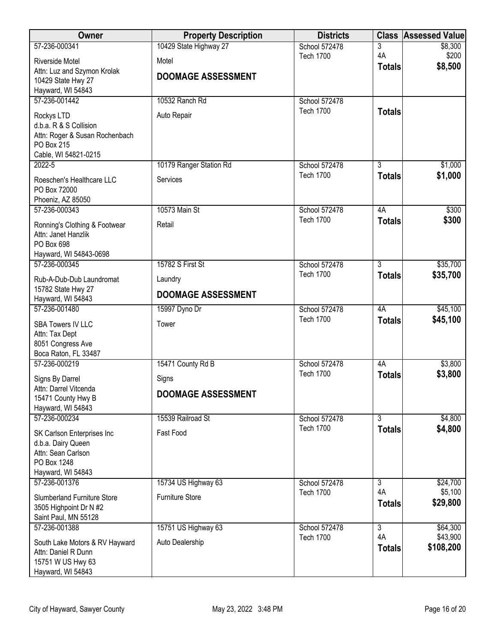| Owner                                                 | <b>Property Description</b> | <b>Districts</b>                  | <b>Class</b>        | <b>Assessed Value</b> |
|-------------------------------------------------------|-----------------------------|-----------------------------------|---------------------|-----------------------|
| 57-236-000341                                         | 10429 State Highway 27      | School 572478                     | 3                   | \$8,300               |
| <b>Riverside Motel</b>                                | Motel                       | <b>Tech 1700</b>                  | 4A<br><b>Totals</b> | \$200<br>\$8,500      |
| Attn: Luz and Szymon Krolak                           | <b>DOOMAGE ASSESSMENT</b>   |                                   |                     |                       |
| 10429 State Hwy 27<br>Hayward, WI 54843               |                             |                                   |                     |                       |
| 57-236-001442                                         | 10532 Ranch Rd              | School 572478                     |                     |                       |
| Rockys LTD                                            | Auto Repair                 | <b>Tech 1700</b>                  | <b>Totals</b>       |                       |
| d.b.a. R & S Collision                                |                             |                                   |                     |                       |
| Attn: Roger & Susan Rochenbach                        |                             |                                   |                     |                       |
| PO Box 215<br>Cable, WI 54821-0215                    |                             |                                   |                     |                       |
| $2022 - 5$                                            | 10179 Ranger Station Rd     | School 572478                     | $\overline{3}$      | \$1,000               |
| Roeschen's Healthcare LLC                             | Services                    | <b>Tech 1700</b>                  | <b>Totals</b>       | \$1,000               |
| PO Box 72000                                          |                             |                                   |                     |                       |
| Phoeniz, AZ 85050                                     |                             |                                   |                     |                       |
| 57-236-000343                                         | 10573 Main St               | School 572478<br><b>Tech 1700</b> | 4A                  | \$300<br>\$300        |
| Ronning's Clothing & Footwear                         | Retail                      |                                   | <b>Totals</b>       |                       |
| Attn: Janet Hanzlik<br>PO Box 698                     |                             |                                   |                     |                       |
| Hayward, WI 54843-0698                                |                             |                                   |                     |                       |
| 57-236-000345                                         | 15782 S First St            | School 572478                     | $\overline{3}$      | \$35,700              |
| Rub-A-Dub-Dub Laundromat                              | Laundry                     | <b>Tech 1700</b>                  | <b>Totals</b>       | \$35,700              |
| 15782 State Hwy 27                                    | <b>DOOMAGE ASSESSMENT</b>   |                                   |                     |                       |
| Hayward, WI 54843<br>57-236-001480                    | 15997 Dyno Dr               | School 572478                     | 4A                  | \$45,100              |
|                                                       | Tower                       | <b>Tech 1700</b>                  | <b>Totals</b>       | \$45,100              |
| <b>SBA Towers IV LLC</b><br>Attn: Tax Dept            |                             |                                   |                     |                       |
| 8051 Congress Ave                                     |                             |                                   |                     |                       |
| Boca Raton, FL 33487                                  |                             |                                   |                     |                       |
| 57-236-000219                                         | 15471 County Rd B           | School 572478<br><b>Tech 1700</b> | 4A<br><b>Totals</b> | \$3,800<br>\$3,800    |
| Signs By Darrel                                       | Signs                       |                                   |                     |                       |
| Attn: Darrel Vitcenda<br>15471 County Hwy B           | <b>DOOMAGE ASSESSMENT</b>   |                                   |                     |                       |
| Hayward, WI 54843                                     |                             |                                   |                     |                       |
| 57-236-000234                                         | 15539 Railroad St           | School 572478                     | $\overline{3}$      | \$4,800               |
| SK Carlson Enterprises Inc                            | Fast Food                   | <b>Tech 1700</b>                  | <b>Totals</b>       | \$4,800               |
| d.b.a. Dairy Queen                                    |                             |                                   |                     |                       |
| Attn: Sean Carlson<br>PO Box 1248                     |                             |                                   |                     |                       |
| Hayward, WI 54843                                     |                             |                                   |                     |                       |
| 57-236-001376                                         | 15734 US Highway 63         | School 572478                     | 3                   | \$24,700              |
| <b>Slumberland Furniture Store</b>                    | <b>Furniture Store</b>      | <b>Tech 1700</b>                  | 4A<br><b>Totals</b> | \$5,100<br>\$29,800   |
| 3505 Highpoint Dr N #2                                |                             |                                   |                     |                       |
| Saint Paul, MN 55128<br>57-236-001388                 | 15751 US Highway 63         | School 572478                     | $\overline{3}$      | \$64,300              |
|                                                       |                             | <b>Tech 1700</b>                  | 4A                  | \$43,900              |
| South Lake Motors & RV Hayward<br>Attn: Daniel R Dunn | Auto Dealership             |                                   | <b>Totals</b>       | \$108,200             |
| 15751 W US Hwy 63                                     |                             |                                   |                     |                       |
| Hayward, WI 54843                                     |                             |                                   |                     |                       |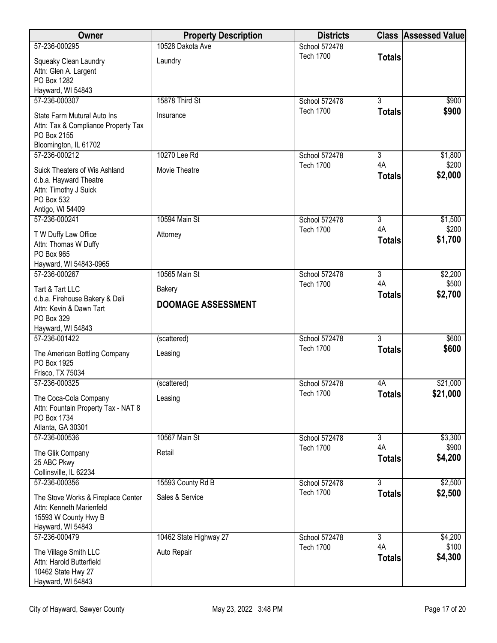| Owner                                                          | <b>Property Description</b> | <b>Districts</b>                  |                      | <b>Class Assessed Value</b> |
|----------------------------------------------------------------|-----------------------------|-----------------------------------|----------------------|-----------------------------|
| 57-236-000295                                                  | 10528 Dakota Ave            | School 572478                     |                      |                             |
| Squeaky Clean Laundry                                          | Laundry                     | <b>Tech 1700</b>                  | <b>Totals</b>        |                             |
| Attn: Glen A. Largent<br>PO Box 1282                           |                             |                                   |                      |                             |
| Hayward, WI 54843                                              |                             |                                   |                      |                             |
| 57-236-000307                                                  | 15878 Third St              | School 572478                     | $\overline{3}$       | \$900                       |
| State Farm Mutural Auto Ins                                    | Insurance                   | <b>Tech 1700</b>                  | <b>Totals</b>        | \$900                       |
| Attn: Tax & Compliance Property Tax                            |                             |                                   |                      |                             |
| PO Box 2155                                                    |                             |                                   |                      |                             |
| Bloomington, IL 61702<br>57-236-000212                         | 10270 Lee Rd                | School 572478                     | $\overline{3}$       | \$1,800                     |
| Suick Theaters of Wis Ashland                                  | Movie Theatre               | <b>Tech 1700</b>                  | 4A                   | \$200                       |
| d.b.a. Hayward Theatre                                         |                             |                                   | <b>Totals</b>        | \$2,000                     |
| Attn: Timothy J Suick                                          |                             |                                   |                      |                             |
| PO Box 532                                                     |                             |                                   |                      |                             |
| Antigo, WI 54409<br>57-236-000241                              | 10594 Main St               | School 572478                     | $\overline{3}$       | \$1,500                     |
| T W Duffy Law Office                                           | Attorney                    | <b>Tech 1700</b>                  | 4A                   | \$200                       |
| Attn: Thomas W Duffy                                           |                             |                                   | <b>Totals</b>        | \$1,700                     |
| PO Box 965                                                     |                             |                                   |                      |                             |
| Hayward, WI 54843-0965<br>57-236-000267                        | 10565 Main St               | School 572478                     | $\overline{3}$       | \$2,200                     |
|                                                                |                             | <b>Tech 1700</b>                  | 4A                   | \$500                       |
| Tart & Tart LLC<br>d.b.a. Firehouse Bakery & Deli              | <b>Bakery</b>               |                                   | <b>Totals</b>        | \$2,700                     |
| Attn: Kevin & Dawn Tart                                        | <b>DOOMAGE ASSESSMENT</b>   |                                   |                      |                             |
| PO Box 329                                                     |                             |                                   |                      |                             |
| Hayward, WI 54843<br>57-236-001422                             | (scattered)                 | School 572478                     | $\overline{3}$       | \$600                       |
|                                                                |                             | <b>Tech 1700</b>                  | <b>Totals</b>        | \$600                       |
| The American Bottling Company<br>PO Box 1925                   | Leasing                     |                                   |                      |                             |
| Frisco, TX 75034                                               |                             |                                   |                      |                             |
| 57-236-000325                                                  | (scattered)                 | School 572478                     | 4A                   | \$21,000                    |
| The Coca-Cola Company                                          | Leasing                     | <b>Tech 1700</b>                  | <b>Totals</b>        | \$21,000                    |
| Attn: Fountain Property Tax - NAT 8<br>PO Box 1734             |                             |                                   |                      |                             |
| Atlanta, GA 30301                                              |                             |                                   |                      |                             |
| 57-236-000536                                                  | 10567 Main St               | School 572478                     | 3                    | \$3,300                     |
| The Glik Company                                               | Retail                      | <b>Tech 1700</b>                  | 4A                   | \$900                       |
| 25 ABC Pkwy                                                    |                             |                                   | <b>Totals</b>        | \$4,200                     |
| Collinsville, IL 62234<br>57-236-000356                        | 15593 County Rd B           | School 572478                     | $\overline{3}$       | \$2,500                     |
|                                                                |                             | <b>Tech 1700</b>                  | <b>Totals</b>        | \$2,500                     |
| The Stove Works & Fireplace Center<br>Attn: Kenneth Marienfeld | Sales & Service             |                                   |                      |                             |
| 15593 W County Hwy B                                           |                             |                                   |                      |                             |
| Hayward, WI 54843                                              |                             |                                   |                      |                             |
| 57-236-000479                                                  | 10462 State Highway 27      | School 572478<br><b>Tech 1700</b> | $\overline{3}$<br>4A | \$4,200<br>\$100            |
| The Village Smith LLC                                          | Auto Repair                 |                                   | <b>Totals</b>        | \$4,300                     |
| Attn: Harold Butterfield<br>10462 State Hwy 27                 |                             |                                   |                      |                             |
| Hayward, WI 54843                                              |                             |                                   |                      |                             |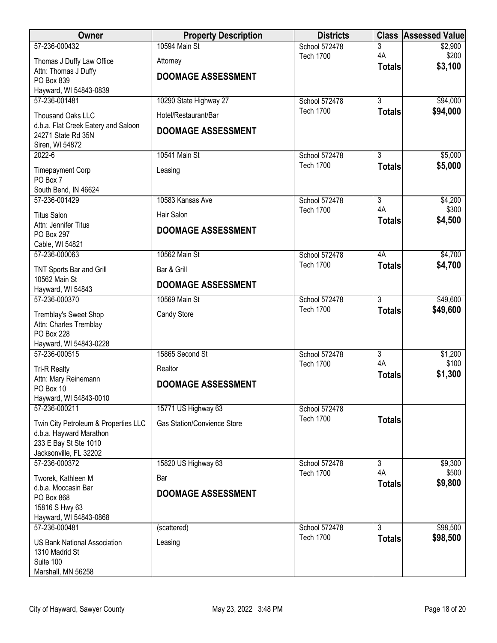| Owner                                                                        | <b>Property Description</b>        | <b>Districts</b> | <b>Class</b>              | <b>Assessed Value</b> |
|------------------------------------------------------------------------------|------------------------------------|------------------|---------------------------|-----------------------|
| 57-236-000432                                                                | 10594 Main St                      | School 572478    | 3<br>4A                   | \$2,900               |
| Thomas J Duffy Law Office                                                    | Attorney                           | <b>Tech 1700</b> | <b>Totals</b>             | \$200<br>\$3,100      |
| Attn: Thomas J Duffy<br>PO Box 839                                           | <b>DOOMAGE ASSESSMENT</b>          |                  |                           |                       |
| Hayward, WI 54843-0839                                                       |                                    |                  |                           |                       |
| 57-236-001481                                                                | 10290 State Highway 27             | School 572478    | $\overline{3}$            | \$94,000              |
| Thousand Oaks LLC                                                            | Hotel/Restaurant/Bar               | <b>Tech 1700</b> | <b>Totals</b>             | \$94,000              |
| d.b.a. Flat Creek Eatery and Saloon<br>24271 State Rd 35N<br>Siren, WI 54872 | <b>DOOMAGE ASSESSMENT</b>          |                  |                           |                       |
| $2022 - 6$                                                                   | 10541 Main St                      | School 572478    | $\overline{3}$            | \$5,000               |
| <b>Timepayment Corp</b>                                                      | Leasing                            | <b>Tech 1700</b> | <b>Totals</b>             | \$5,000               |
| PO Box 7                                                                     |                                    |                  |                           |                       |
| South Bend, IN 46624<br>57-236-001429                                        | 10583 Kansas Ave                   | School 572478    | $\overline{3}$            | \$4,200               |
| <b>Titus Salon</b>                                                           | Hair Salon                         | <b>Tech 1700</b> | 4A                        | \$300                 |
| Attn: Jennifer Titus                                                         |                                    |                  | <b>Totals</b>             | \$4,500               |
| PO Box 297                                                                   | <b>DOOMAGE ASSESSMENT</b>          |                  |                           |                       |
| Cable, WI 54821<br>57-236-000063                                             | 10562 Main St                      | School 572478    | 4A                        | \$4,700               |
|                                                                              |                                    | <b>Tech 1700</b> | <b>Totals</b>             | \$4,700               |
| TNT Sports Bar and Grill<br>10562 Main St                                    | Bar & Grill                        |                  |                           |                       |
| Hayward, WI 54843                                                            | <b>DOOMAGE ASSESSMENT</b>          |                  |                           |                       |
| 57-236-000370                                                                | 10569 Main St                      | School 572478    | $\overline{3}$            | \$49,600              |
| Tremblay's Sweet Shop                                                        | Candy Store                        | <b>Tech 1700</b> | <b>Totals</b>             | \$49,600              |
| Attn: Charles Tremblay<br><b>PO Box 228</b>                                  |                                    |                  |                           |                       |
| Hayward, WI 54843-0228                                                       |                                    |                  |                           |                       |
| 57-236-000515                                                                | 15865 Second St                    | School 572478    | $\overline{\overline{3}}$ | \$1,200               |
| <b>Tri-R Realty</b>                                                          | Realtor                            | <b>Tech 1700</b> | 4A<br><b>Totals</b>       | \$100<br>\$1,300      |
| Attn: Mary Reinemann<br>PO Box 10                                            | <b>DOOMAGE ASSESSMENT</b>          |                  |                           |                       |
| Hayward, WI 54843-0010                                                       |                                    |                  |                           |                       |
| 57-236-000211                                                                | 15771 US Highway 63                | School 572478    |                           |                       |
| Twin City Petroleum & Properties LLC                                         | <b>Gas Station/Convience Store</b> | <b>Tech 1700</b> | <b>Totals</b>             |                       |
| d.b.a. Hayward Marathon                                                      |                                    |                  |                           |                       |
| 233 E Bay St Ste 1010<br>Jacksonville, FL 32202                              |                                    |                  |                           |                       |
| 57-236-000372                                                                | 15820 US Highway 63                | School 572478    | $\overline{3}$            | \$9,300               |
| Tworek, Kathleen M                                                           | Bar                                | <b>Tech 1700</b> | 4A                        | \$500                 |
| d.b.a. Moccasin Bar                                                          | <b>DOOMAGE ASSESSMENT</b>          |                  | <b>Totals</b>             | \$9,800               |
| PO Box 868<br>15816 S Hwy 63                                                 |                                    |                  |                           |                       |
| Hayward, WI 54843-0868                                                       |                                    |                  |                           |                       |
| 57-236-000481                                                                | (scattered)                        | School 572478    | $\overline{3}$            | \$98,500              |
| <b>US Bank National Association</b>                                          | Leasing                            | <b>Tech 1700</b> | <b>Totals</b>             | \$98,500              |
| 1310 Madrid St<br>Suite 100                                                  |                                    |                  |                           |                       |
| Marshall, MN 56258                                                           |                                    |                  |                           |                       |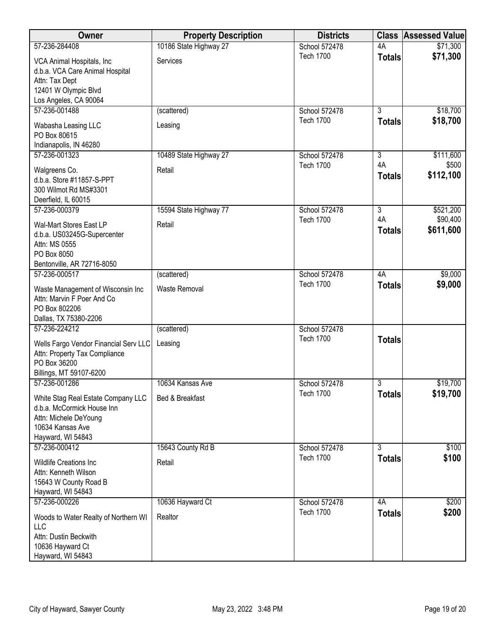| Owner                                                                                                                              | <b>Property Description</b> | <b>Districts</b> |                     | <b>Class Assessed Value</b> |
|------------------------------------------------------------------------------------------------------------------------------------|-----------------------------|------------------|---------------------|-----------------------------|
| 57-236-284408                                                                                                                      | 10186 State Highway 27      | School 572478    | 4A                  | \$71,300                    |
| VCA Animal Hospitals, Inc.<br>d.b.a. VCA Care Animal Hospital<br>Attn: Tax Dept<br>12401 W Olympic Blvd<br>Los Angeles, CA 90064   | Services                    | <b>Tech 1700</b> | <b>Totals</b>       | \$71,300                    |
| 57-236-001488                                                                                                                      | (scattered)                 | School 572478    | $\overline{3}$      | \$18,700                    |
| Wabasha Leasing LLC<br>PO Box 80615<br>Indianapolis, IN 46280                                                                      | Leasing                     | <b>Tech 1700</b> | <b>Totals</b>       | \$18,700                    |
| 57-236-001323                                                                                                                      | 10489 State Highway 27      | School 572478    | 3                   | \$111,600                   |
| Walgreens Co.<br>d.b.a. Store #11857-S-PPT<br>300 Wilmot Rd MS#3301<br>Deerfield, IL 60015                                         | Retail                      | <b>Tech 1700</b> | 4A<br><b>Totals</b> | \$500<br>\$112,100          |
| 57-236-000379                                                                                                                      | 15594 State Highway 77      | School 572478    | $\overline{3}$      | \$521,200                   |
| Wal-Mart Stores East LP<br>d.b.a. US03245G-Supercenter<br>Attn: MS 0555<br>PO Box 8050<br>Bentonville, AR 72716-8050               | Retail                      | <b>Tech 1700</b> | 4A<br><b>Totals</b> | \$90,400<br>\$611,600       |
| 57-236-000517                                                                                                                      | (scattered)                 | School 572478    | 4A                  | \$9,000                     |
| Waste Management of Wisconsin Inc<br>Attn: Marvin F Poer And Co<br>PO Box 802206<br>Dallas, TX 75380-2206                          | Waste Removal               | <b>Tech 1700</b> | <b>Totals</b>       | \$9,000                     |
| 57-236-224212                                                                                                                      | (scattered)                 | School 572478    |                     |                             |
| Wells Fargo Vendor Financial Serv LLC<br>Attn: Property Tax Compliance<br>PO Box 36200<br>Billings, MT 59107-6200                  | Leasing                     | <b>Tech 1700</b> | <b>Totals</b>       |                             |
| 57-236-001286                                                                                                                      | 10634 Kansas Ave            | School 572478    | $\overline{3}$      | \$19,700                    |
| White Stag Real Estate Company LLC<br>d.b.a. McCormick House Inn<br>Attn: Michele DeYoung<br>10634 Kansas Ave<br>Hayward, WI 54843 | Bed & Breakfast             | <b>Tech 1700</b> | Totals              | \$19,700                    |
| 57-236-000412                                                                                                                      | 15643 County Rd B           | School 572478    | $\overline{3}$      | \$100                       |
| <b>Wildlife Creations Inc</b><br>Attn: Kenneth Wilson<br>15643 W County Road B<br>Hayward, WI 54843                                | Retail                      | <b>Tech 1700</b> | <b>Totals</b>       | \$100                       |
| 57-236-000226                                                                                                                      | 10636 Hayward Ct            | School 572478    | 4A                  | \$200                       |
| Woods to Water Realty of Northern WI<br>LLC<br>Attn: Dustin Beckwith<br>10636 Hayward Ct<br>Hayward, WI 54843                      | Realtor                     | <b>Tech 1700</b> | <b>Totals</b>       | \$200                       |